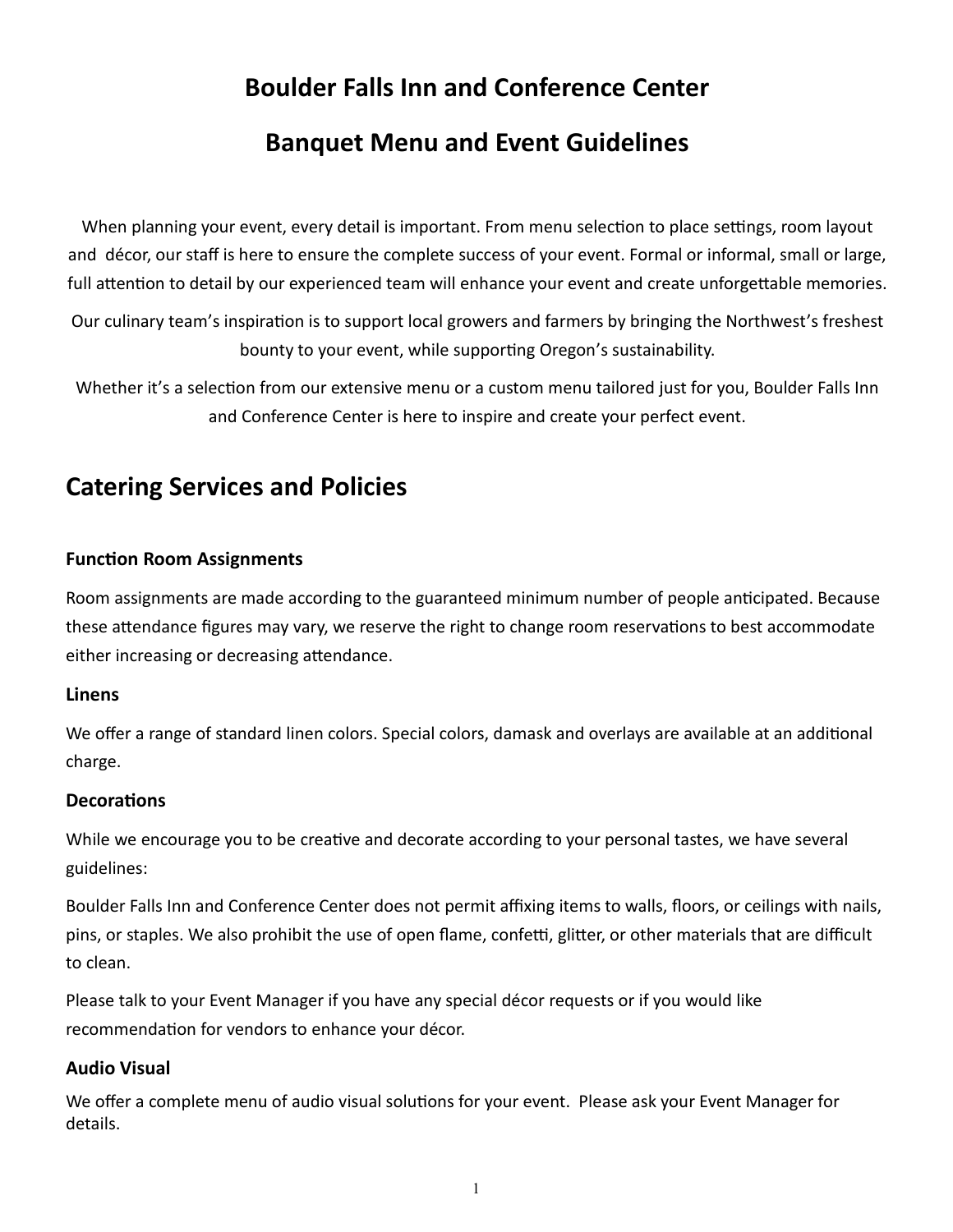# **Boulder Falls Inn and Conference Center**

# **Banquet Menu and Event Guidelines**

When planning your event, every detail is important. From menu selection to place settings, room layout and décor, our staff is here to ensure the complete success of your event. Formal or informal, small or large, full attention to detail by our experienced team will enhance your event and create unforgettable memories.

Our culinary team's inspiration is to support local growers and farmers by bringing the Northwest's freshest bounty to your event, while supporting Oregon's sustainability.

Whether it's a selection from our extensive menu or a custom menu tailored just for you, Boulder Falls Inn and Conference Center is here to inspire and create your perfect event.

# **Catering Services and Policies**

### **Function Room Assignments**

Room assignments are made according to the guaranteed minimum number of people anticipated. Because these attendance figures may vary, we reserve the right to change room reservations to best accommodate either increasing or decreasing attendance.

#### **Linens**

We offer a range of standard linen colors. Special colors, damask and overlays are available at an additional charge.

### **Decorations**

While we encourage you to be creative and decorate according to your personal tastes, we have several guidelines:

Boulder Falls Inn and Conference Center does not permit affixing items to walls, floors, or ceilings with nails, pins, or staples. We also prohibit the use of open flame, confetti, glitter, or other materials that are difficult to clean.

Please talk to your Event Manager if you have any special décor requests or if you would like recommendation for vendors to enhance your décor.

### **Audio Visual**

We offer a complete menu of audio visual solutions for your event. Please ask your Event Manager for details.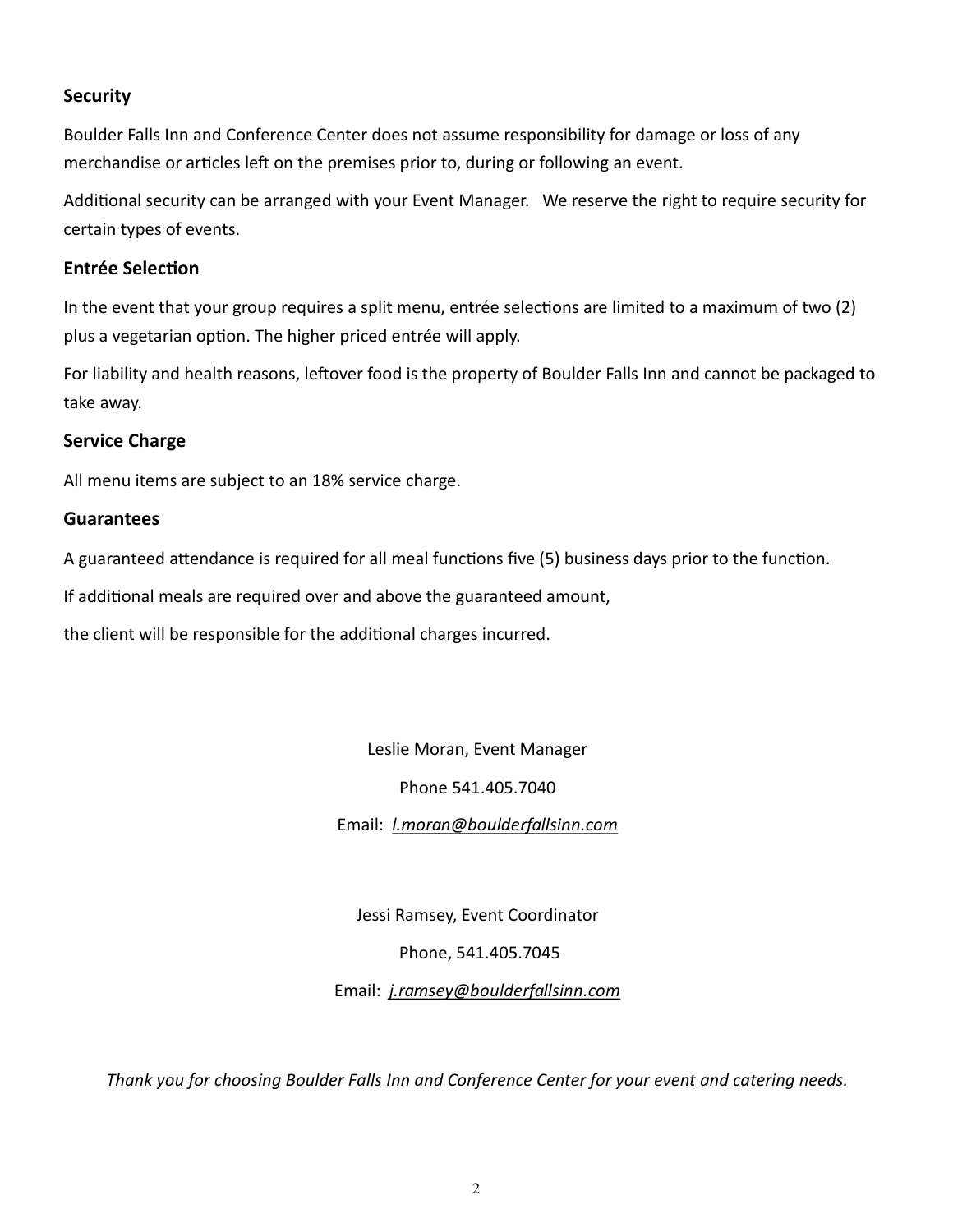### **Security**

Boulder Falls Inn and Conference Center does not assume responsibility for damage or loss of any merchandise or articles left on the premises prior to, during or following an event.

Additional security can be arranged with your Event Manager. We reserve the right to require security for certain types of events.

#### **Entrée Selection**

In the event that your group requires a split menu, entrée selections are limited to a maximum of two (2) plus a vegetarian option. The higher priced entrée will apply.

For liability and health reasons, leftover food is the property of Boulder Falls Inn and cannot be packaged to take away.

### **Service Charge**

All menu items are subject to an 18% service charge.

#### **Guarantees**

A guaranteed attendance is required for all meal functions five (5) business days prior to the function.

If additional meals are required over and above the guaranteed amount,

the client will be responsible for the additional charges incurred.

Leslie Moran, Event Manager

Phone 541.405.7040

Email: *l.moran@boulderfallsinn.com*

Jessi Ramsey, Event Coordinator

Phone, 541.405.7045

Email: *j.ramsey@boulderfallsinn.com*

*Thank you for choosing Boulder Falls Inn and Conference Center for your event and catering needs.*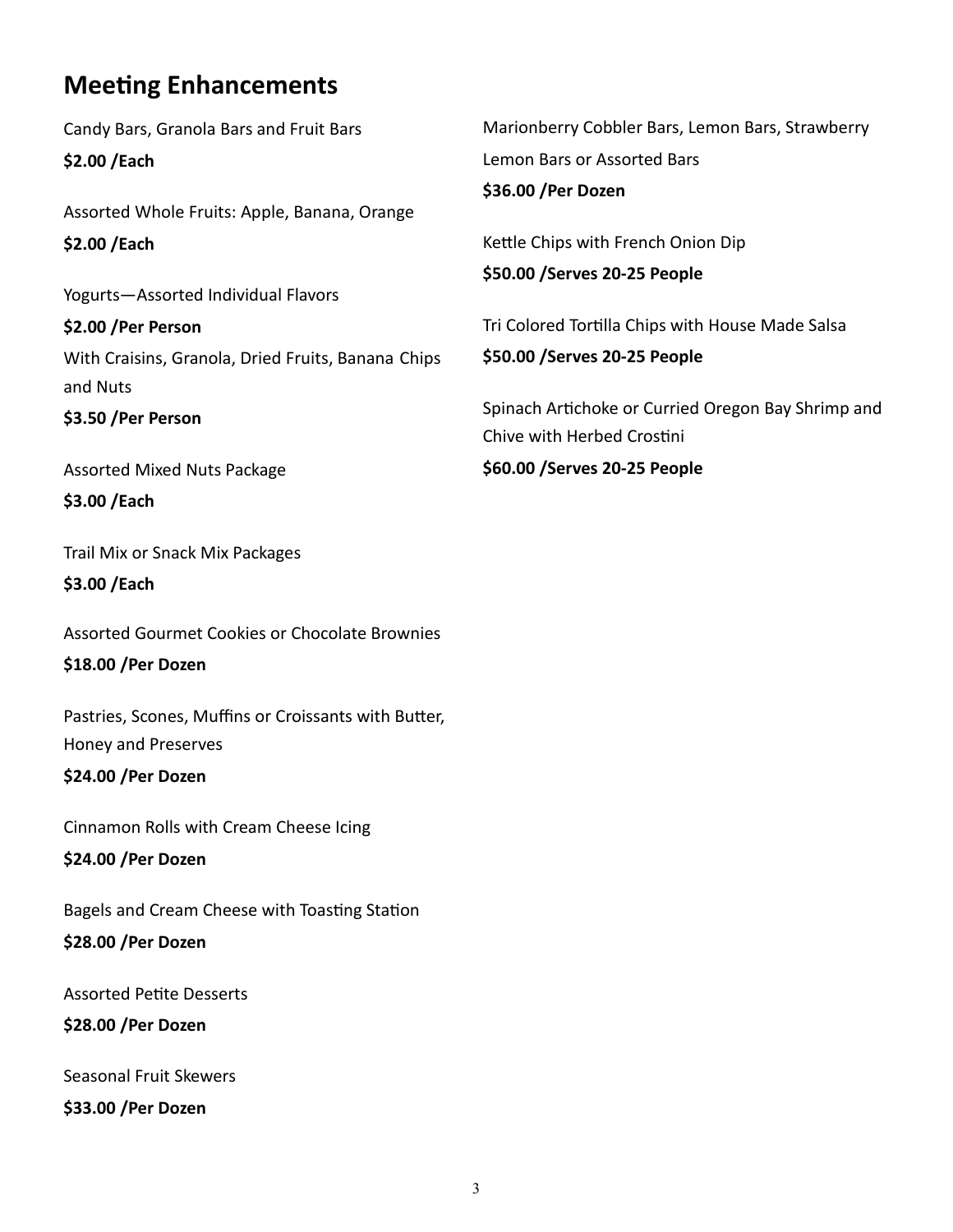# **Meeting Enhancements**

Candy Bars, Granola Bars and Fruit Bars **\$2.00 /Each** Assorted Whole Fruits: Apple, Banana, Orange **\$2.00 /Each** Yogurts—Assorted Individual Flavors **\$2.00 /Per Person** With Craisins, Granola, Dried Fruits, Banana Chips and Nuts **\$3.50 /Per Person** Assorted Mixed Nuts Package **\$3.00 /Each** Trail Mix or Snack Mix Packages **\$3.00 /Each** Assorted Gourmet Cookies or Chocolate Brownies **\$18.00 /Per Dozen** Pastries, Scones, Muffins or Croissants with Butter, Honey and Preserves **\$24.00 /Per Dozen** Cinnamon Rolls with Cream Cheese Icing **\$24.00 /Per Dozen** Bagels and Cream Cheese with Toasting Station **\$28.00 /Per Dozen** Assorted Petite Desserts **\$28.00 /Per Dozen** Seasonal Fruit Skewers **\$33.00 /Per Dozen** Marionberry Cobbler Bars, Lemon Bars, Strawberry Lemon Bars or Assorted Bars **\$36.00 /Per Dozen** Kettle Chips with French Onion Dip **\$50.00 /Serves 20-25 People** Tri Colored Tortilla Chips with House Made Salsa **\$50.00 /Serves 20-25 People** Spinach Artichoke or Curried Oregon Bay Shrimp and Chive with Herbed Crostini **\$60.00 /Serves 20-25 People**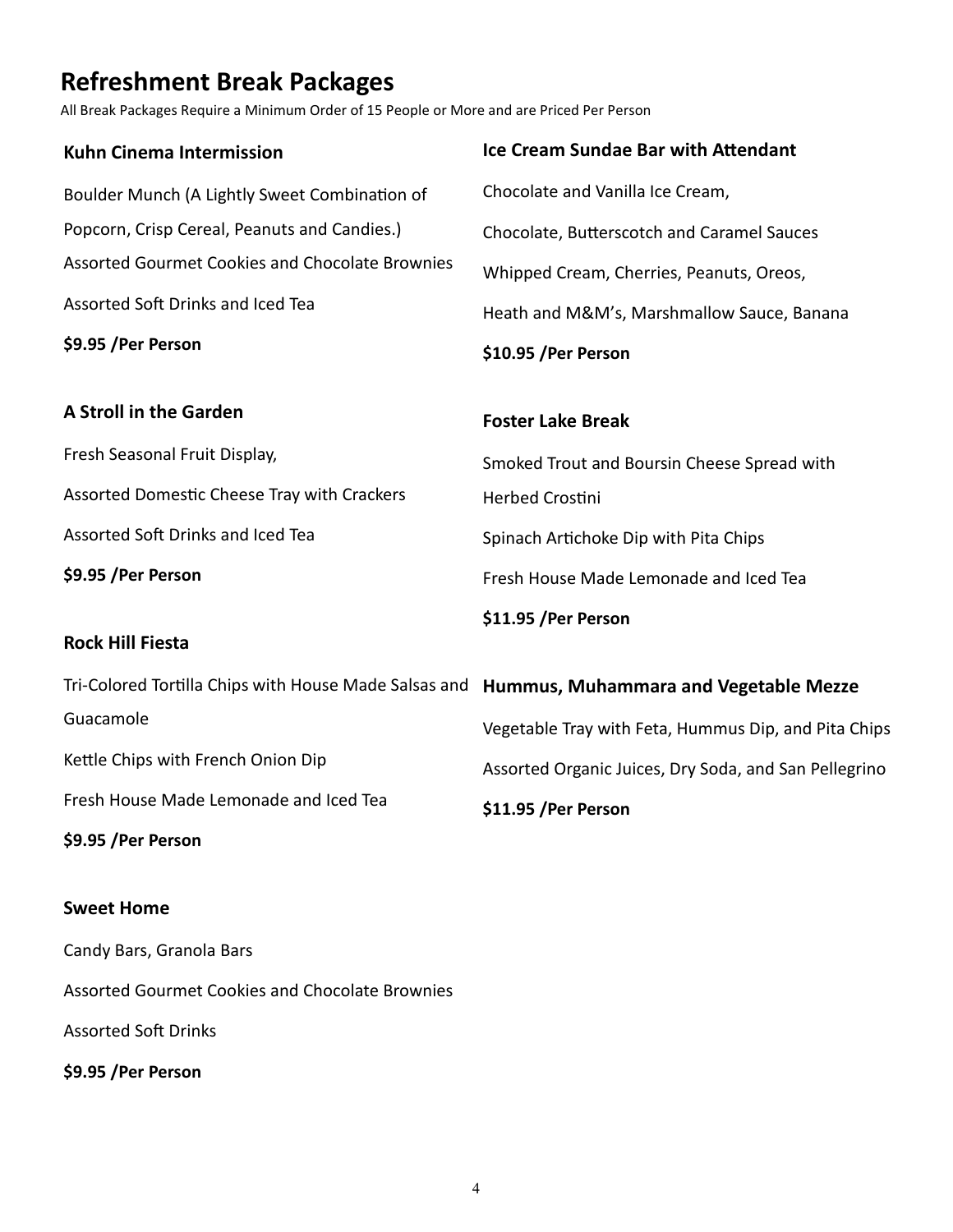# **Refreshment Break Packages**

All Break Packages Require a Minimum Order of 15 People or More and are Priced Per Person

| <b>Kuhn Cinema Intermission</b>                                                             | <b>Ice Cream Sundae Bar with Attendant</b>            |
|---------------------------------------------------------------------------------------------|-------------------------------------------------------|
| Boulder Munch (A Lightly Sweet Combination of                                               | Chocolate and Vanilla Ice Cream,                      |
| Popcorn, Crisp Cereal, Peanuts and Candies.)                                                | Chocolate, Butterscotch and Caramel Sauces            |
| <b>Assorted Gourmet Cookies and Chocolate Brownies</b>                                      | Whipped Cream, Cherries, Peanuts, Oreos,              |
| Assorted Soft Drinks and Iced Tea                                                           | Heath and M&M's, Marshmallow Sauce, Banana            |
| \$9.95 / Per Person                                                                         | \$10.95 / Per Person                                  |
| <b>A Stroll in the Garden</b>                                                               | <b>Foster Lake Break</b>                              |
| Fresh Seasonal Fruit Display,                                                               | Smoked Trout and Boursin Cheese Spread with           |
| Assorted Domestic Cheese Tray with Crackers                                                 | Herbed Crostini                                       |
| Assorted Soft Drinks and Iced Tea                                                           | Spinach Artichoke Dip with Pita Chips                 |
| \$9.95 / Per Person                                                                         | Fresh House Made Lemonade and Iced Tea                |
|                                                                                             | \$11.95 /Per Person                                   |
| <b>Rock Hill Fiesta</b>                                                                     |                                                       |
| Tri-Colored Tortilla Chips with House Made Salsas and Hummus, Muhammara and Vegetable Mezze |                                                       |
| Guacamole                                                                                   | Vegetable Tray with Feta, Hummus Dip, and Pita Chips  |
| Kettle Chips with French Onion Dip                                                          | Assorted Organic Juices, Dry Soda, and San Pellegrino |
| Fresh House Made Lemonade and Iced Tea                                                      | \$11.95 /Per Person                                   |
| \$9.95 / Per Person                                                                         |                                                       |
| <b>Sweet Home</b>                                                                           |                                                       |
| Candy Bars, Granola Bars                                                                    |                                                       |

Assorted Gourmet Cookies and Chocolate Brownies

Assorted Soft Drinks

**\$9.95 /Per Person**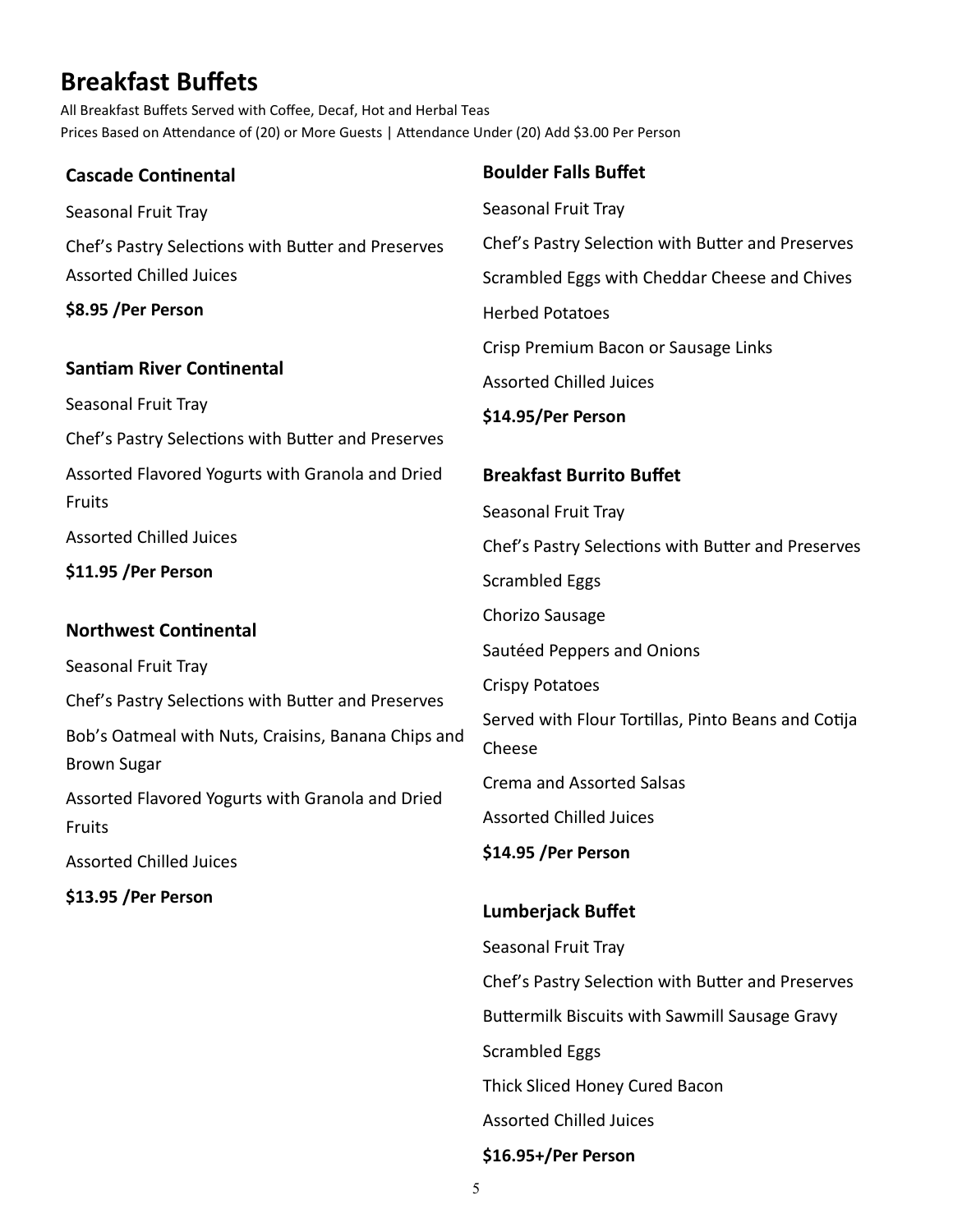# **Breakfast Buffets**

All Breakfast Buffets Served with Coffee, Decaf, Hot and Herbal Teas Prices Based on Attendance of (20) or More Guests | Attendance Under (20) Add \$3.00 Per Person

| <b>Cascade Continental</b>                                                                                | <b>Boulder Falls Buffet</b>                                   |
|-----------------------------------------------------------------------------------------------------------|---------------------------------------------------------------|
| Seasonal Fruit Tray                                                                                       | Seasonal Fruit Tray                                           |
| Chef's Pastry Selections with Butter and Preserves                                                        | Chef's Pastry Selection with Butter and Preserves             |
| <b>Assorted Chilled Juices</b>                                                                            | Scrambled Eggs with Cheddar Cheese and Chives                 |
| \$8.95 / Per Person                                                                                       | <b>Herbed Potatoes</b>                                        |
|                                                                                                           | Crisp Premium Bacon or Sausage Links                          |
| <b>Santiam River Continental</b>                                                                          | <b>Assorted Chilled Juices</b>                                |
| Seasonal Fruit Tray                                                                                       | \$14.95/Per Person                                            |
| Chef's Pastry Selections with Butter and Preserves                                                        |                                                               |
| Assorted Flavored Yogurts with Granola and Dried                                                          | <b>Breakfast Burrito Buffet</b>                               |
| Fruits                                                                                                    | Seasonal Fruit Tray                                           |
| <b>Assorted Chilled Juices</b>                                                                            | Chef's Pastry Selections with Butter and Preserves            |
| \$11.95 / Per Person                                                                                      | <b>Scrambled Eggs</b>                                         |
| <b>Northwest Continental</b><br>Seasonal Fruit Tray<br>Chef's Pastry Selections with Butter and Preserves | Chorizo Sausage                                               |
|                                                                                                           | Sautéed Peppers and Onions                                    |
|                                                                                                           | <b>Crispy Potatoes</b>                                        |
|                                                                                                           | Served with Flour Tortillas, Pinto Beans and Cotija<br>Cheese |
| Bob's Oatmeal with Nuts, Craisins, Banana Chips and                                                       |                                                               |
| <b>Brown Sugar</b>                                                                                        | <b>Crema and Assorted Salsas</b>                              |
| Assorted Flavored Yogurts with Granola and Dried                                                          | <b>Assorted Chilled Juices</b>                                |
| Fruits                                                                                                    | \$14.95 /Per Person                                           |
| <b>Assorted Chilled Juices</b>                                                                            |                                                               |
| \$13.95 / Per Person                                                                                      | <b>Lumberjack Buffet</b>                                      |
|                                                                                                           | Seasonal Fruit Tray                                           |
|                                                                                                           | Chef's Pastry Selection with Butter and Preserves             |

5

Scrambled Eggs

Thick Sliced Honey Cured Bacon

Assorted Chilled Juices

**\$16.95+/Per Person**

Buttermilk Biscuits with Sawmill Sausage Gravy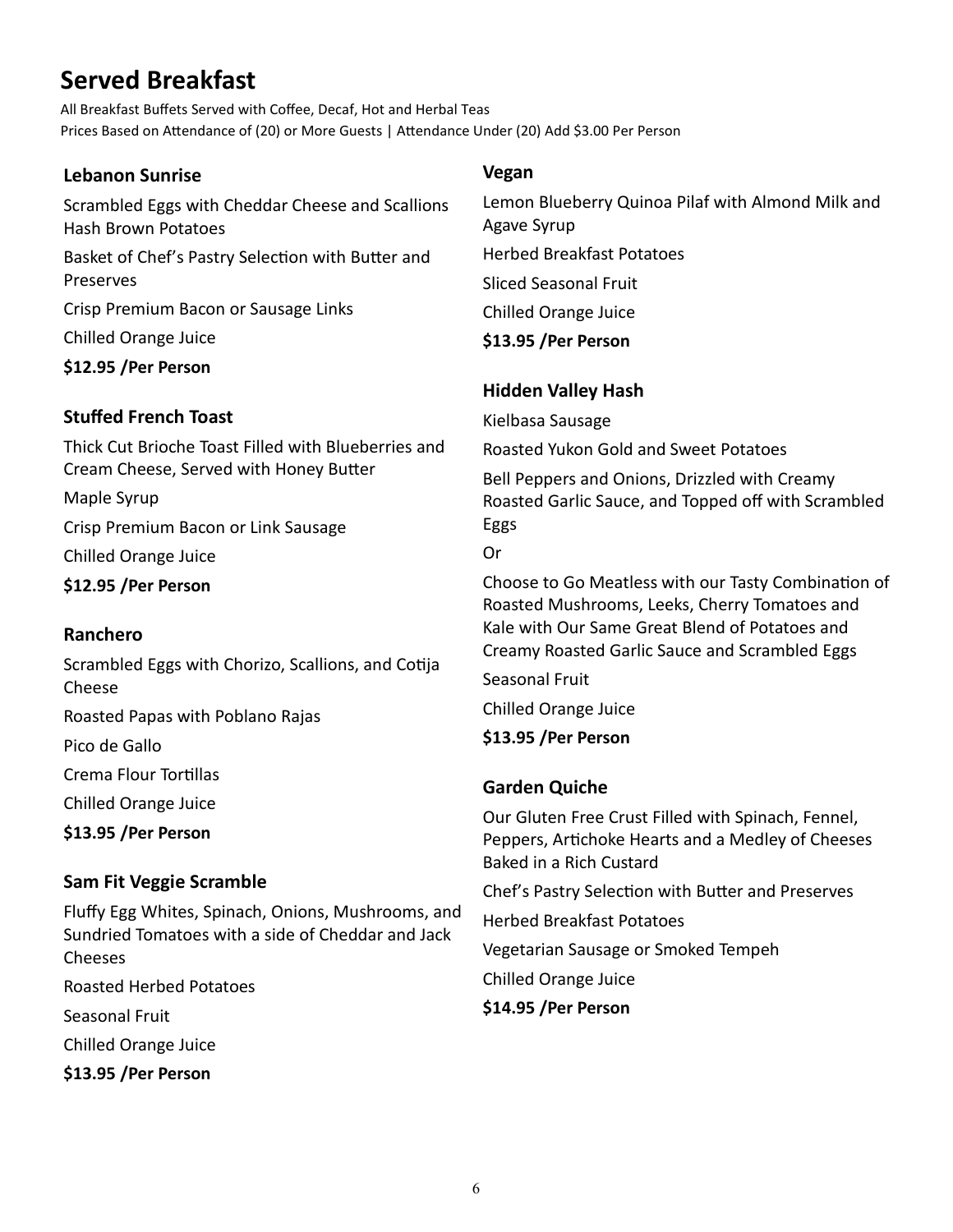# **Served Breakfast**

All Breakfast Buffets Served with Coffee, Decaf, Hot and Herbal Teas Prices Based on Attendance of (20) or More Guests | Attendance Under (20) Add \$3.00 Per Person

## **Lebanon Sunrise**

Scrambled Eggs with Cheddar Cheese and Scallions Hash Brown Potatoes

Basket of Chef's Pastry Selection with Butter and Preserves

Crisp Premium Bacon or Sausage Links

Chilled Orange Juice

**\$12.95 /Per Person**

# **Stuffed French Toast**

Thick Cut Brioche Toast Filled with Blueberries and Cream Cheese, Served with Honey Butter

Maple Syrup

Crisp Premium Bacon or Link Sausage

Chilled Orange Juice

**\$12.95 /Per Person** 

# **Ranchero**

Scrambled Eggs with Chorizo, Scallions, and Cotija Cheese

Roasted Papas with Poblano Rajas

Pico de Gallo

Crema Flour Tortillas

Chilled Orange Juice

**\$13.95 /Per Person**

# **Sam Fit Veggie Scramble**

Fluffy Egg Whites, Spinach, Onions, Mushrooms, and Sundried Tomatoes with a side of Cheddar and Jack Cheeses Roasted Herbed Potatoes Seasonal Fruit Chilled Orange Juice **\$13.95 /Per Person**

## **Vegan**

Lemon Blueberry Quinoa Pilaf with Almond Milk and Agave Syrup Herbed Breakfast Potatoes Sliced Seasonal Fruit Chilled Orange Juice **\$13.95 /Per Person**

# **Hidden Valley Hash**

Kielbasa Sausage

Roasted Yukon Gold and Sweet Potatoes

Bell Peppers and Onions, Drizzled with Creamy Roasted Garlic Sauce, and Topped off with Scrambled Eggs

Or

Choose to Go Meatless with our Tasty Combination of Roasted Mushrooms, Leeks, Cherry Tomatoes and Kale with Our Same Great Blend of Potatoes and Creamy Roasted Garlic Sauce and Scrambled Eggs

Seasonal Fruit

Chilled Orange Juice

# **\$13.95 /Per Person**

# **Garden Quiche**

Our Gluten Free Crust Filled with Spinach, Fennel, Peppers, Artichoke Hearts and a Medley of Cheeses Baked in a Rich Custard Chef's Pastry Selection with Butter and Preserves Herbed Breakfast Potatoes Vegetarian Sausage or Smoked Tempeh Chilled Orange Juice

**\$14.95 /Per Person**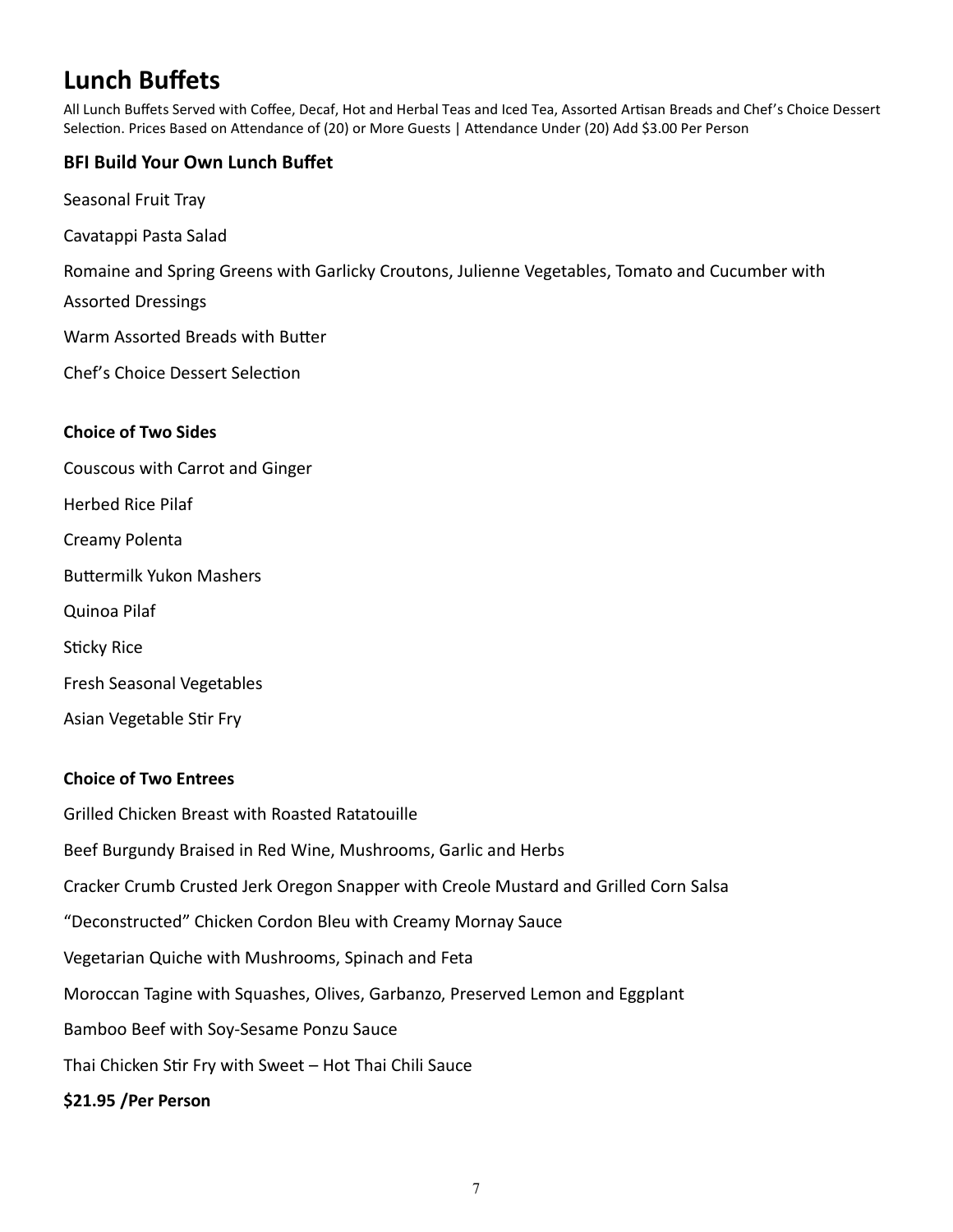# **Lunch Buffets**

All Lunch Buffets Served with Coffee, Decaf, Hot and Herbal Teas and Iced Tea, Assorted Artisan Breads and Chef's Choice Dessert Selection. Prices Based on Attendance of (20) or More Guests | Attendance Under (20) Add \$3.00 Per Person

## **BFI Build Your Own Lunch Buffet**

- Seasonal Fruit Tray
- Cavatappi Pasta Salad

Romaine and Spring Greens with Garlicky Croutons, Julienne Vegetables, Tomato and Cucumber with

Assorted Dressings

Warm Assorted Breads with Butter

Chef's Choice Dessert Selection

#### **Choice of Two Sides**

- Couscous with Carrot and Ginger Herbed Rice Pilaf Creamy Polenta
- Buttermilk Yukon Mashers
- Quinoa Pilaf

Sticky Rice

- Fresh Seasonal Vegetables
- Asian Vegetable Stir Fry

### **Choice of Two Entrees**

Grilled Chicken Breast with Roasted Ratatouille Beef Burgundy Braised in Red Wine, Mushrooms, Garlic and Herbs Cracker Crumb Crusted Jerk Oregon Snapper with Creole Mustard and Grilled Corn Salsa "Deconstructed" Chicken Cordon Bleu with Creamy Mornay Sauce Vegetarian Quiche with Mushrooms, Spinach and Feta Moroccan Tagine with Squashes, Olives, Garbanzo, Preserved Lemon and Eggplant Bamboo Beef with Soy-Sesame Ponzu Sauce Thai Chicken Stir Fry with Sweet – Hot Thai Chili Sauce **\$21.95 /Per Person**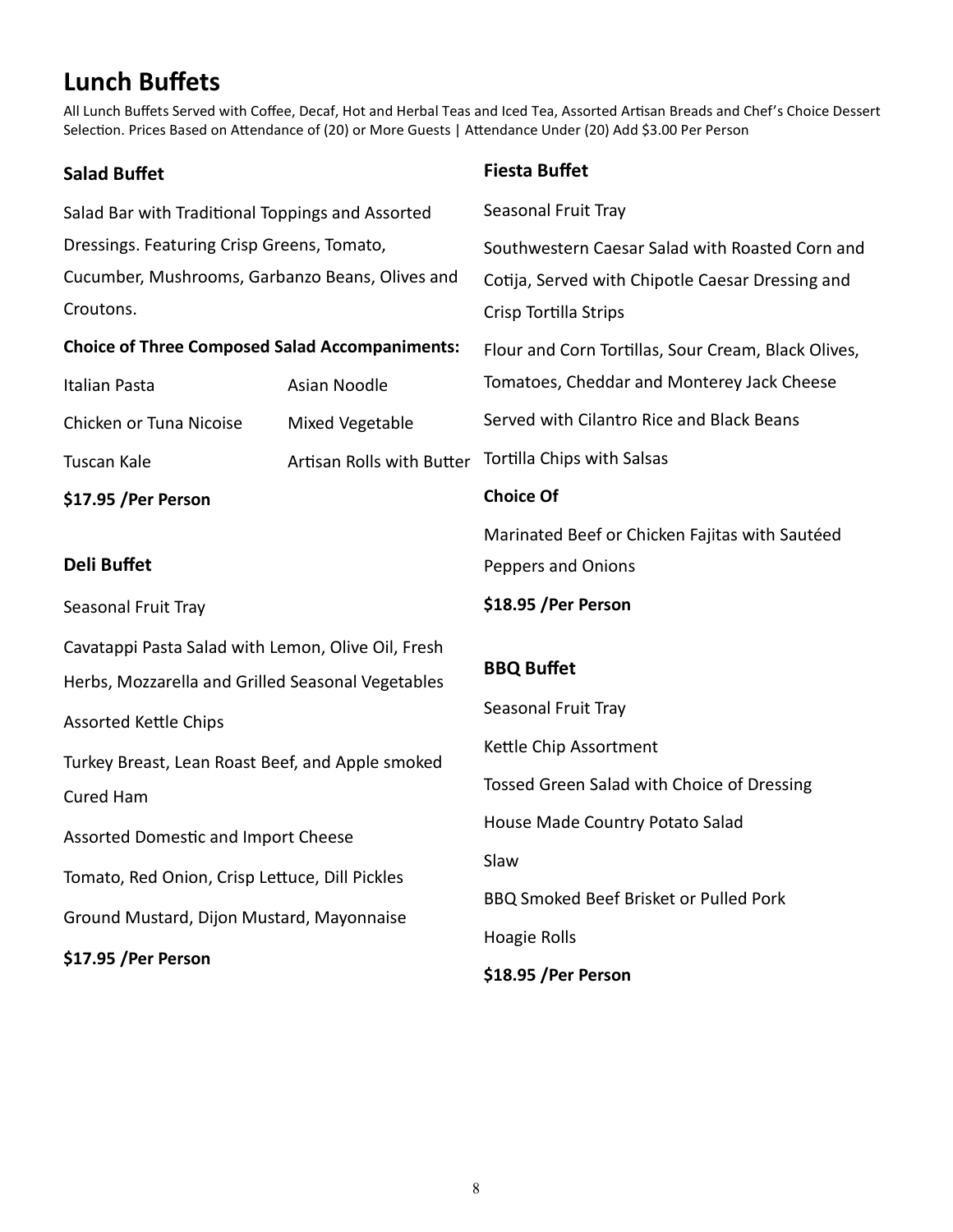# **Lunch Buffets**

All Lunch Buffets Served with Coffee, Decaf, Hot and Herbal Teas and Iced Tea, Assorted Artisan Breads and Chef's Choice Dessert Selection. Prices Based on Attendance of (20) or More Guests | Attendance Under (20) Add \$3.00 Per Person

| <b>Salad Buffet</b>                                   |                           | <b>Fiesta Buffet</b>                                |  |
|-------------------------------------------------------|---------------------------|-----------------------------------------------------|--|
| Salad Bar with Traditional Toppings and Assorted      |                           | Seasonal Fruit Tray                                 |  |
| Dressings. Featuring Crisp Greens, Tomato,            |                           | Southwestern Caesar Salad with Roasted Corn and     |  |
| Cucumber, Mushrooms, Garbanzo Beans, Olives and       |                           | Cotija, Served with Chipotle Caesar Dressing and    |  |
| Croutons.                                             |                           | Crisp Tortilla Strips                               |  |
| <b>Choice of Three Composed Salad Accompaniments:</b> |                           | Flour and Corn Tortillas, Sour Cream, Black Olives, |  |
| Italian Pasta                                         | Asian Noodle              | Tomatoes, Cheddar and Monterey Jack Cheese          |  |
| Chicken or Tuna Nicoise                               | Mixed Vegetable           | Served with Cilantro Rice and Black Beans           |  |
| Tuscan Kale                                           | Artisan Rolls with Butter | Tortilla Chips with Salsas                          |  |
| \$17.95 / Per Person                                  |                           | <b>Choice Of</b>                                    |  |
|                                                       |                           | Marinated Beef or Chicken Fajitas with Sautéed      |  |
| <b>Deli Buffet</b>                                    |                           | Peppers and Onions                                  |  |
| Seasonal Fruit Tray                                   |                           | \$18.95 /Per Person                                 |  |
| Cavatappi Pasta Salad with Lemon, Olive Oil, Fresh    |                           |                                                     |  |
| Herbs, Mozzarella and Grilled Seasonal Vegetables     |                           | <b>BBQ Buffet</b>                                   |  |
| <b>Assorted Kettle Chips</b>                          |                           | Seasonal Fruit Tray                                 |  |
| Turkey Breast, Lean Roast Beef, and Apple smoked      |                           | Kettle Chip Assortment                              |  |
| <b>Cured Ham</b>                                      |                           | Tossed Green Salad with Choice of Dressing          |  |
| Assorted Domestic and Import Cheese                   |                           | House Made Country Potato Salad                     |  |
|                                                       |                           | Slaw                                                |  |
| Tomato, Red Onion, Crisp Lettuce, Dill Pickles        |                           | BBQ Smoked Beef Brisket or Pulled Pork              |  |
| Ground Mustard, Dijon Mustard, Mayonnaise             |                           | Hoagie Rolls                                        |  |
| \$17.95 / Per Person                                  |                           | \$18.95 /Per Person                                 |  |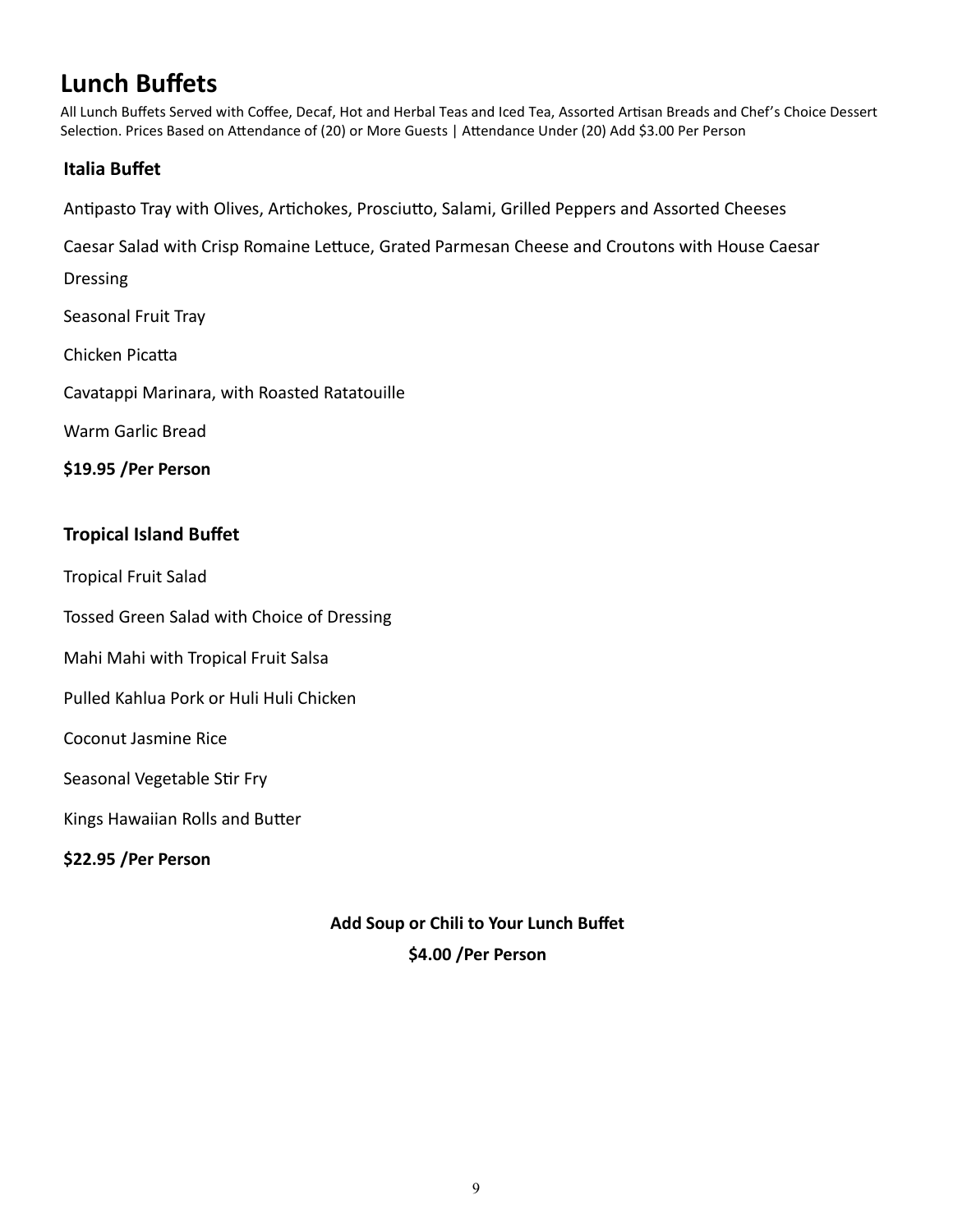# **Lunch Buffets**

All Lunch Buffets Served with Coffee, Decaf, Hot and Herbal Teas and Iced Tea, Assorted Artisan Breads and Chef's Choice Dessert Selection. Prices Based on Attendance of (20) or More Guests | Attendance Under (20) Add \$3.00 Per Person

### **Italia Buffet**

Antipasto Tray with Olives, Artichokes, Prosciutto, Salami, Grilled Peppers and Assorted Cheeses

Caesar Salad with Crisp Romaine Lettuce, Grated Parmesan Cheese and Croutons with House Caesar

Dressing

Seasonal Fruit Tray

Chicken Picatta

Cavatappi Marinara, with Roasted Ratatouille

Warm Garlic Bread

**\$19.95 /Per Person**

### **Tropical Island Buffet**

Tropical Fruit Salad

Tossed Green Salad with Choice of Dressing

Mahi Mahi with Tropical Fruit Salsa

Pulled Kahlua Pork or Huli Huli Chicken

Coconut Jasmine Rice

Seasonal Vegetable Stir Fry

Kings Hawaiian Rolls and Butter

**\$22.95 /Per Person**

**Add Soup or Chili to Your Lunch Buffet \$4.00 /Per Person**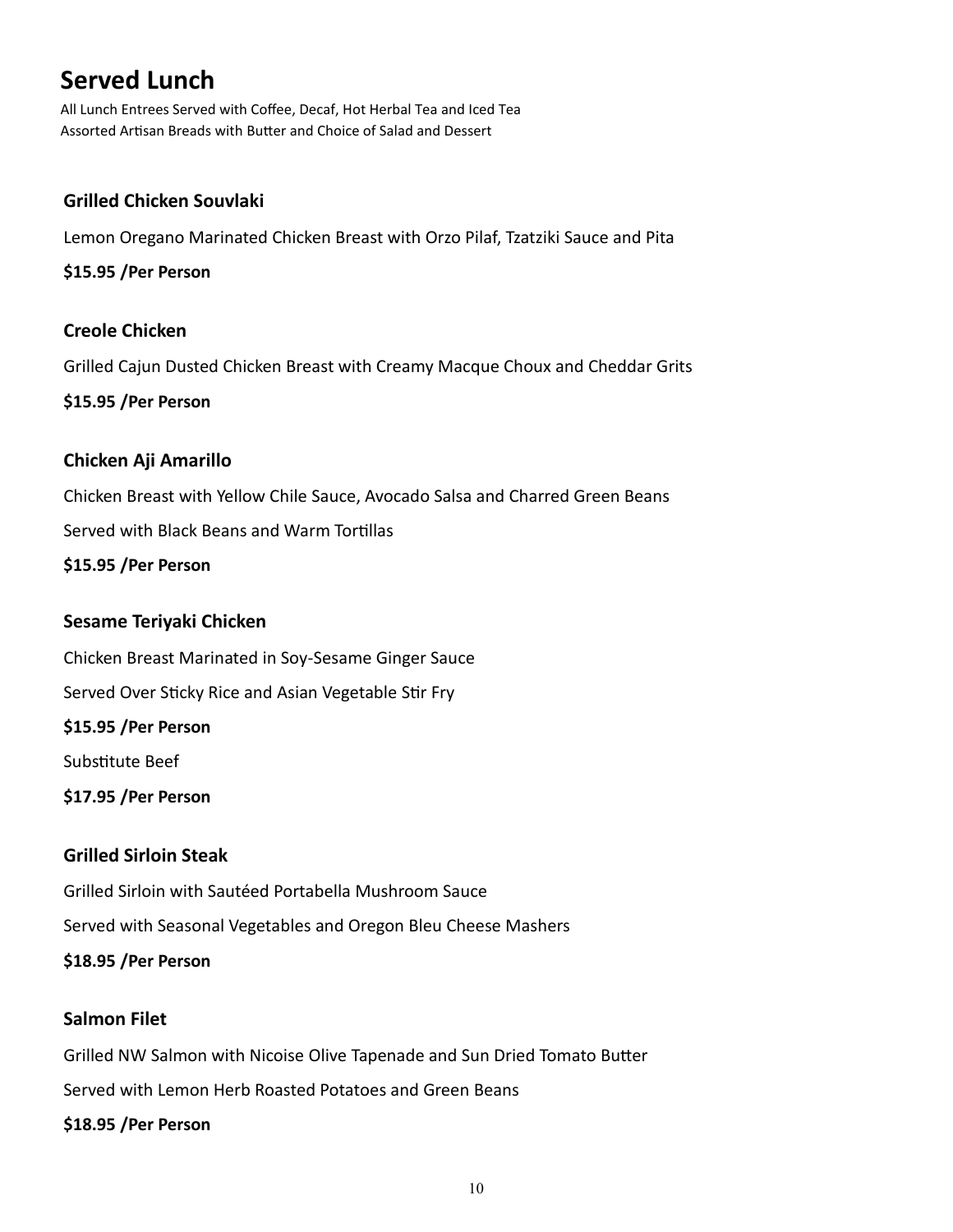# **Served Lunch**

All Lunch Entrees Served with Coffee, Decaf, Hot Herbal Tea and Iced Tea Assorted Artisan Breads with Butter and Choice of Salad and Dessert

### **Grilled Chicken Souvlaki**

Lemon Oregano Marinated Chicken Breast with Orzo Pilaf, Tzatziki Sauce and Pita

**\$15.95 /Per Person**

### **Creole Chicken**

Grilled Cajun Dusted Chicken Breast with Creamy Macque Choux and Cheddar Grits

**\$15.95 /Per Person**

### **Chicken Aji Amarillo**

Chicken Breast with Yellow Chile Sauce, Avocado Salsa and Charred Green Beans

Served with Black Beans and Warm Tortillas

**\$15.95 /Per Person**

### **Sesame Teriyaki Chicken**

Chicken Breast Marinated in Soy‐Sesame Ginger Sauce Served Over Sticky Rice and Asian Vegetable Stir Fry **\$15.95 /Per Person** Substitute Beef **\$17.95 /Per Person**

### **Grilled Sirloin Steak**

Grilled Sirloin with Sautéed Portabella Mushroom Sauce

Served with Seasonal Vegetables and Oregon Bleu Cheese Mashers

**\$18.95 /Per Person**

### **Salmon Filet**

Grilled NW Salmon with Nicoise Olive Tapenade and Sun Dried Tomato Butter

Served with Lemon Herb Roasted Potatoes and Green Beans

#### **\$18.95 /Per Person**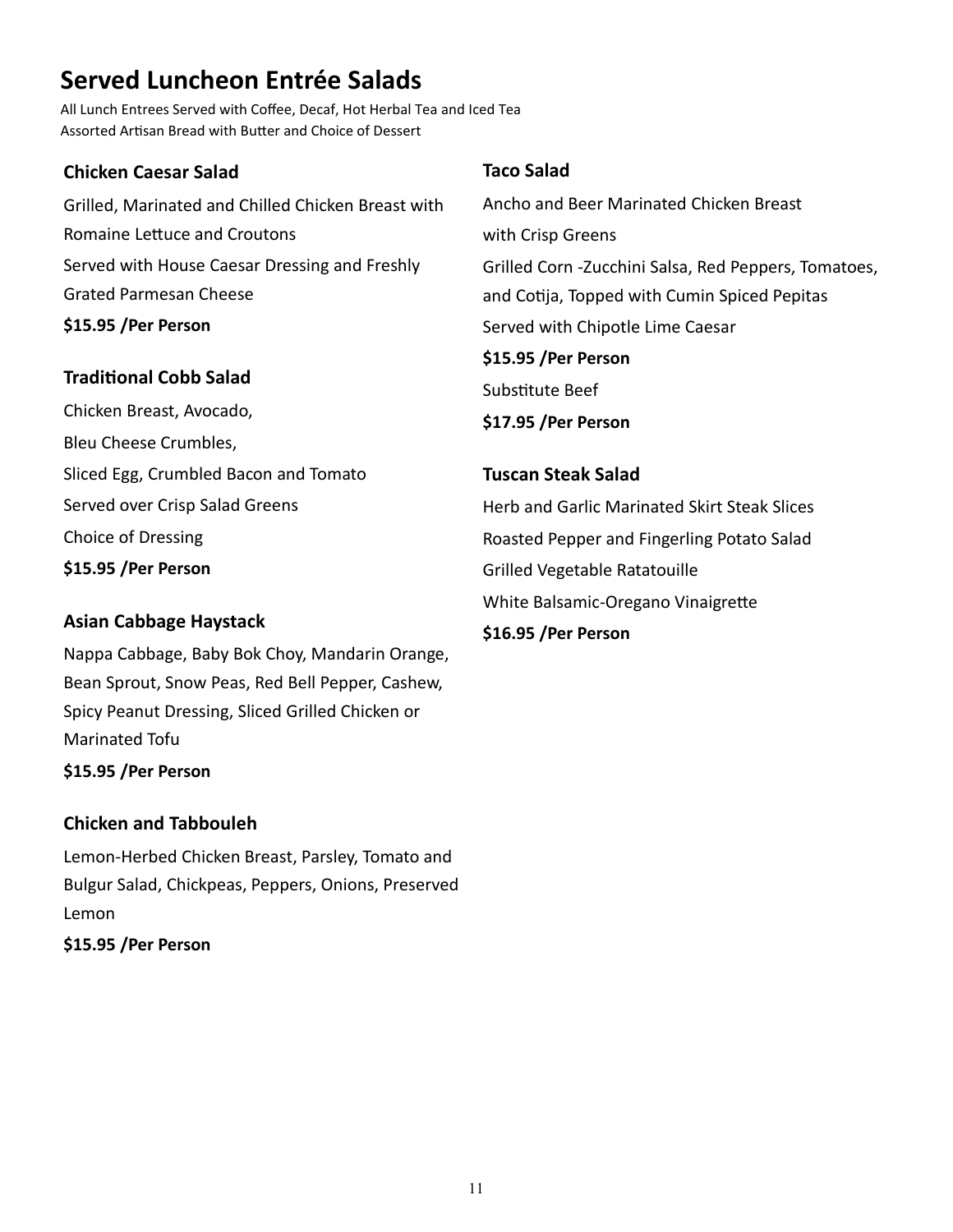# **Served Luncheon Entrée Salads**

All Lunch Entrees Served with Coffee, Decaf, Hot Herbal Tea and Iced Tea Assorted Artisan Bread with Butter and Choice of Dessert

### **Chicken Caesar Salad**

Grilled, Marinated and Chilled Chicken Breast with Romaine Lettuce and Croutons Served with House Caesar Dressing and Freshly Grated Parmesan Cheese **\$15.95 /Per Person**

## **Traditional Cobb Salad**

Chicken Breast, Avocado, Bleu Cheese Crumbles, Sliced Egg, Crumbled Bacon and Tomato Served over Crisp Salad Greens Choice of Dressing **\$15.95 /Per Person**

# **Asian Cabbage Haystack**

Nappa Cabbage, Baby Bok Choy, Mandarin Orange, Bean Sprout, Snow Peas, Red Bell Pepper, Cashew, Spicy Peanut Dressing, Sliced Grilled Chicken or Marinated Tofu

**\$15.95 /Per Person**

## **Chicken and Tabbouleh**

Lemon-Herbed Chicken Breast, Parsley, Tomato and Bulgur Salad, Chickpeas, Peppers, Onions, Preserved Lemon **\$15.95 /Per Person**

# **Taco Salad**

Ancho and Beer Marinated Chicken Breast with Crisp Greens Grilled Corn -Zucchini Salsa, Red Peppers, Tomatoes, and Cotija, Topped with Cumin Spiced Pepitas Served with Chipotle Lime Caesar **\$15.95 /Per Person** Substitute Beef **\$17.95 /Per Person**

# **Tuscan Steak Salad**  Herb and Garlic Marinated Skirt Steak Slices Roasted Pepper and Fingerling Potato Salad Grilled Vegetable Ratatouille White Balsamic-Oregano Vinaigrette **\$16.95 /Per Person**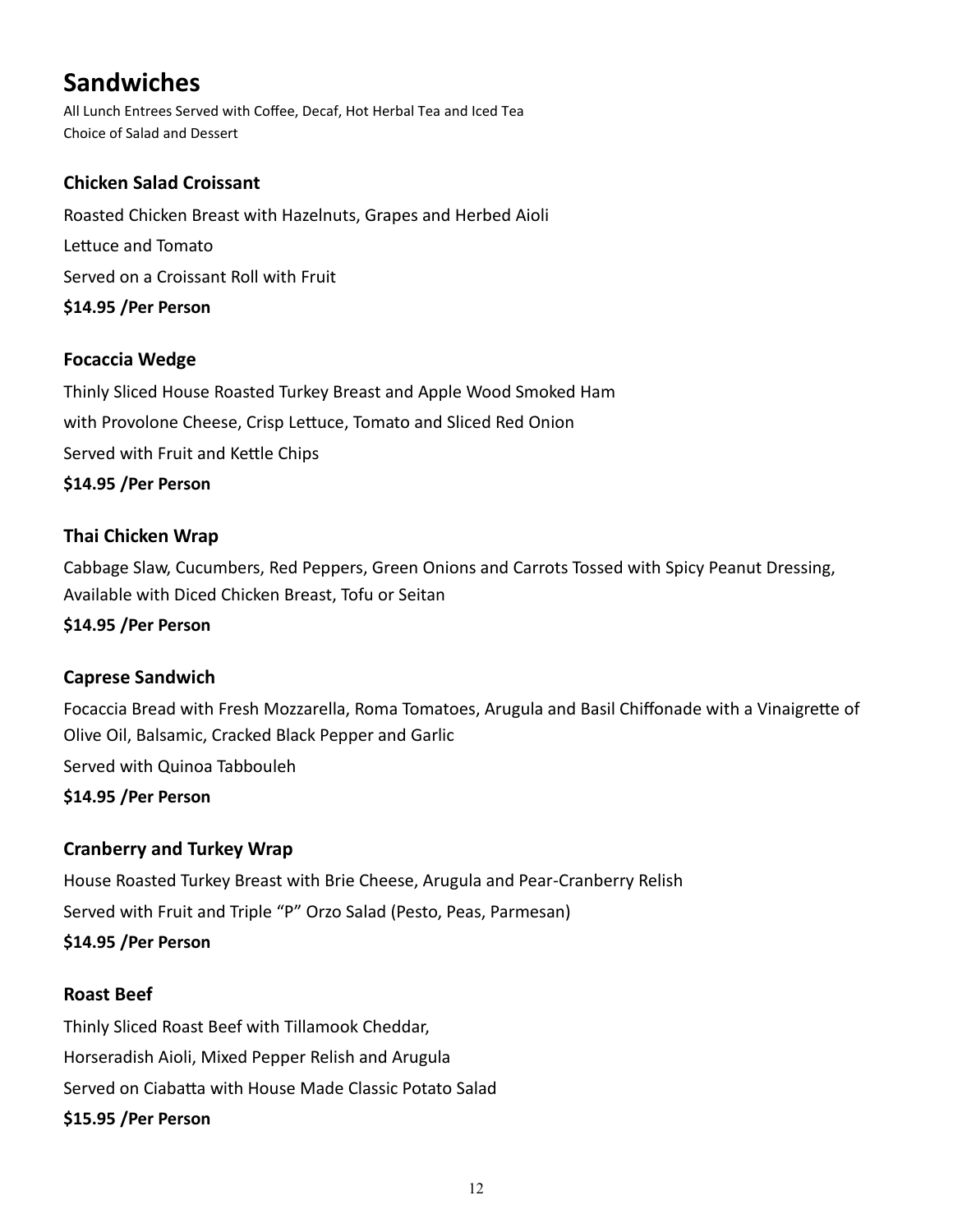# **Sandwiches**

All Lunch Entrees Served with Coffee, Decaf, Hot Herbal Tea and Iced Tea Choice of Salad and Dessert

# **Chicken Salad Croissant**

Roasted Chicken Breast with Hazelnuts, Grapes and Herbed Aioli Lettuce and Tomato Served on a Croissant Roll with Fruit **\$14.95 /Per Person**

## **Focaccia Wedge**

Thinly Sliced House Roasted Turkey Breast and Apple Wood Smoked Ham with Provolone Cheese, Crisp Lettuce, Tomato and Sliced Red Onion Served with Fruit and Kettle Chips **\$14.95 /Per Person**

## **Thai Chicken Wrap**

Cabbage Slaw, Cucumbers, Red Peppers, Green Onions and Carrots Tossed with Spicy Peanut Dressing, Available with Diced Chicken Breast, Tofu or Seitan

### **\$14.95 /Per Person**

## **Caprese Sandwich**

Focaccia Bread with Fresh Mozzarella, Roma Tomatoes, Arugula and Basil Chiffonade with a Vinaigrette of Olive Oil, Balsamic, Cracked Black Pepper and Garlic

Served with Quinoa Tabbouleh

**\$14.95 /Per Person**

## **Cranberry and Turkey Wrap**

House Roasted Turkey Breast with Brie Cheese, Arugula and Pear-Cranberry Relish Served with Fruit and Triple "P" Orzo Salad (Pesto, Peas, Parmesan) **\$14.95 /Per Person**

## **Roast Beef**

Thinly Sliced Roast Beef with Tillamook Cheddar, Horseradish Aioli, Mixed Pepper Relish and Arugula Served on Ciabatta with House Made Classic Potato Salad **\$15.95 /Per Person**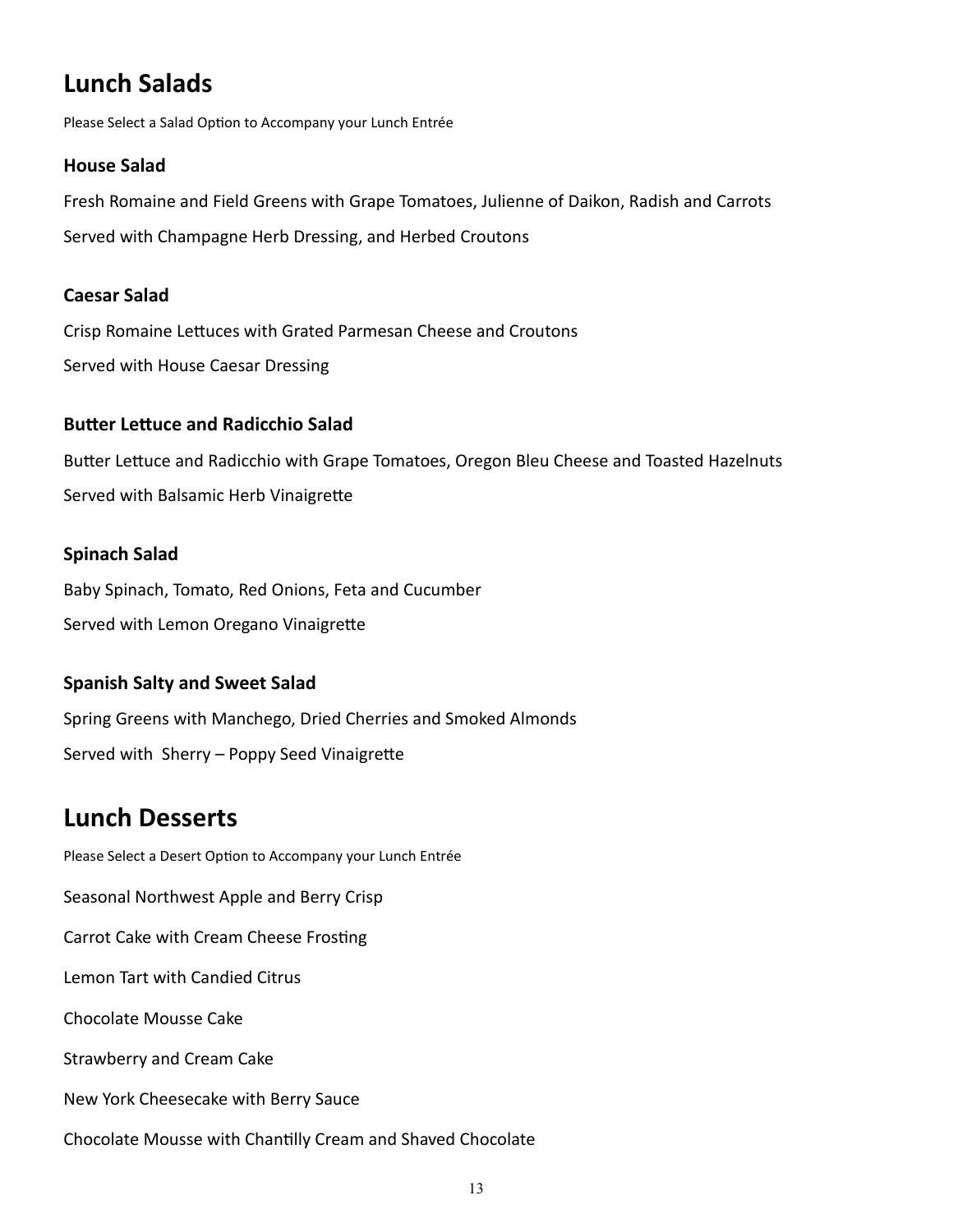# **Lunch Salads**

Please Select a Salad Option to Accompany your Lunch Entrée

#### **House Salad**

Fresh Romaine and Field Greens with Grape Tomatoes, Julienne of Daikon, Radish and Carrots Served with Champagne Herb Dressing, and Herbed Croutons

#### **Caesar Salad**

Crisp Romaine Lettuces with Grated Parmesan Cheese and Croutons Served with House Caesar Dressing

### **Butter Lettuce and Radicchio Salad**

Butter Lettuce and Radicchio with Grape Tomatoes, Oregon Bleu Cheese and Toasted Hazelnuts Served with Balsamic Herb Vinaigrette

#### **Spinach Salad**

Baby Spinach, Tomato, Red Onions, Feta and Cucumber Served with Lemon Oregano Vinaigrette

### **Spanish Salty and Sweet Salad**

Spring Greens with Manchego, Dried Cherries and Smoked Almonds Served with Sherry – Poppy Seed Vinaigrette

# **Lunch Desserts**

Please Select a Desert Option to Accompany your Lunch Entrée Seasonal Northwest Apple and Berry Crisp Carrot Cake with Cream Cheese Frosting Lemon Tart with Candied Citrus Chocolate Mousse Cake Strawberry and Cream Cake New York Cheesecake with Berry Sauce Chocolate Mousse with Chantilly Cream and Shaved Chocolate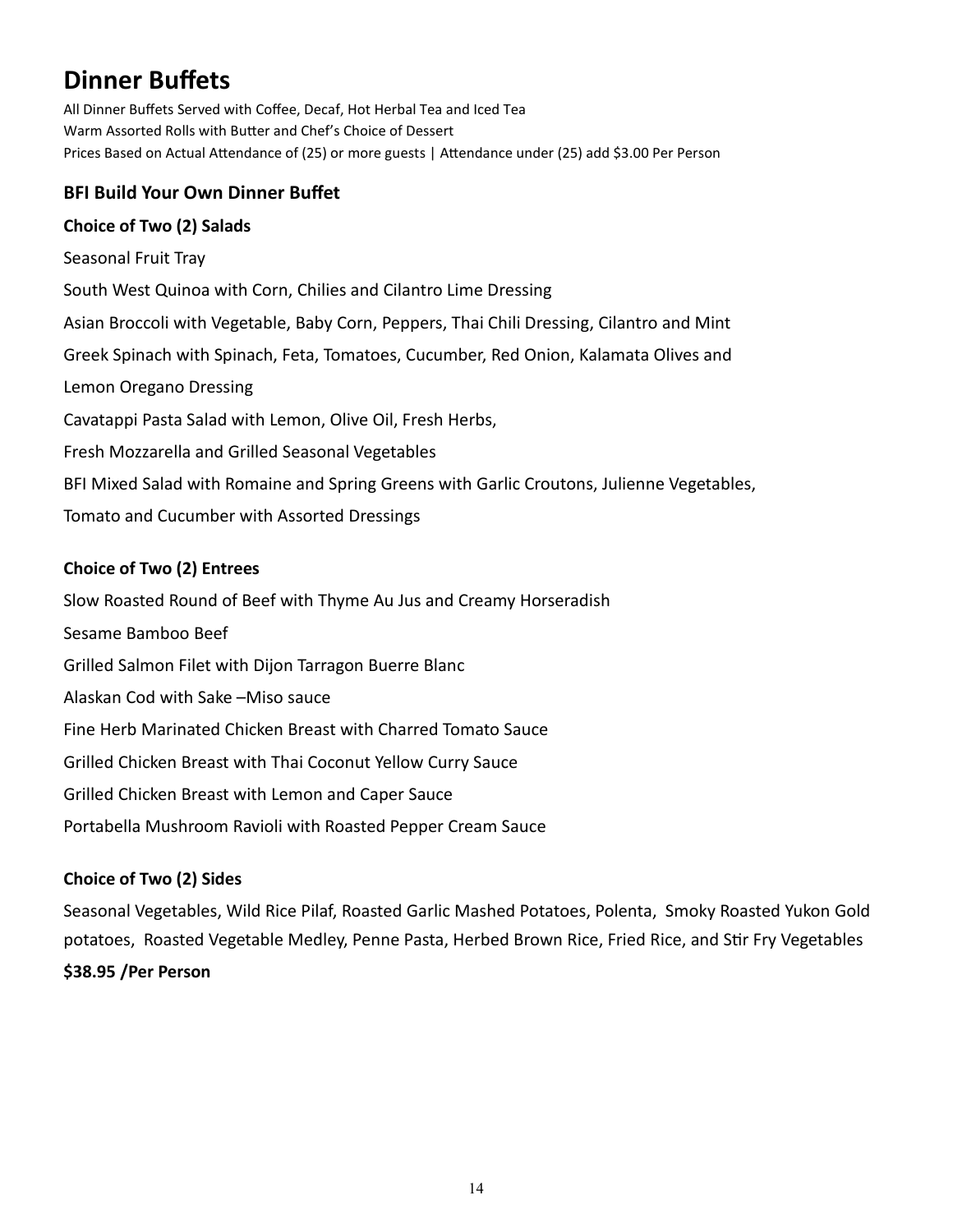# **Dinner Buffets**

All Dinner Buffets Served with Coffee, Decaf, Hot Herbal Tea and Iced Tea Warm Assorted Rolls with Butter and Chef's Choice of Dessert Prices Based on Actual Attendance of (25) or more guests | Attendance under (25) add \$3.00 Per Person

# **BFI Build Your Own Dinner Buffet**

### **Choice of Two (2) Salads**

Seasonal Fruit Tray South West Quinoa with Corn, Chilies and Cilantro Lime Dressing Asian Broccoli with Vegetable, Baby Corn, Peppers, Thai Chili Dressing, Cilantro and Mint Greek Spinach with Spinach, Feta, Tomatoes, Cucumber, Red Onion, Kalamata Olives and Lemon Oregano Dressing Cavatappi Pasta Salad with Lemon, Olive Oil, Fresh Herbs, Fresh Mozzarella and Grilled Seasonal Vegetables BFI Mixed Salad with Romaine and Spring Greens with Garlic Croutons, Julienne Vegetables, Tomato and Cucumber with Assorted Dressings

## **Choice of Two (2) Entrees**

Slow Roasted Round of Beef with Thyme Au Jus and Creamy Horseradish Sesame Bamboo Beef Grilled Salmon Filet with Dijon Tarragon Buerre Blanc Alaskan Cod with Sake –Miso sauce Fine Herb Marinated Chicken Breast with Charred Tomato Sauce Grilled Chicken Breast with Thai Coconut Yellow Curry Sauce Grilled Chicken Breast with Lemon and Caper Sauce Portabella Mushroom Ravioli with Roasted Pepper Cream Sauce

## **Choice of Two (2) Sides**

Seasonal Vegetables, Wild Rice Pilaf, Roasted Garlic Mashed Potatoes, Polenta, Smoky Roasted Yukon Gold potatoes, Roasted Vegetable Medley, Penne Pasta, Herbed Brown Rice, Fried Rice, and Stir Fry Vegetables **\$38.95 /Per Person**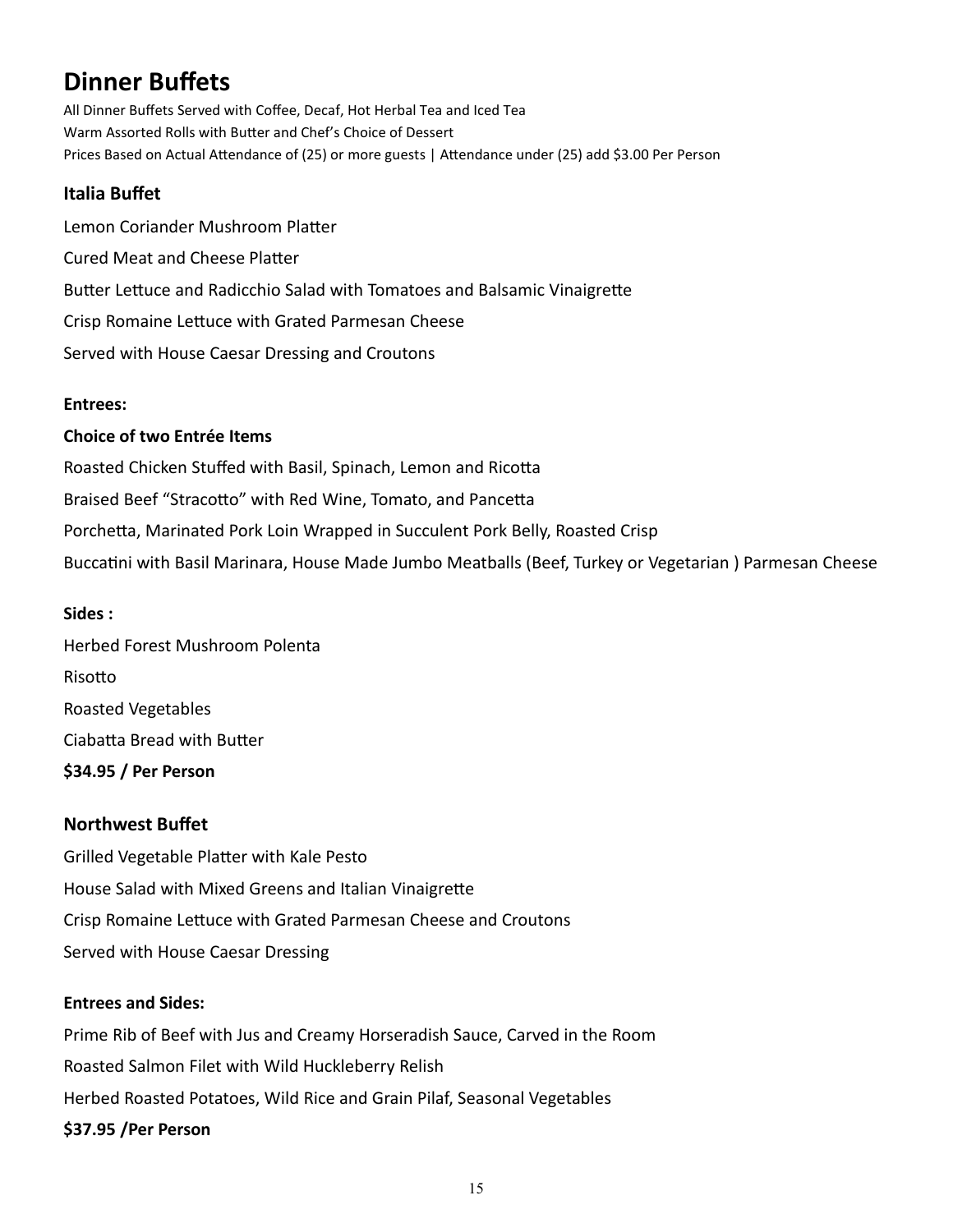# **Dinner Buffets**

All Dinner Buffets Served with Coffee, Decaf, Hot Herbal Tea and Iced Tea Warm Assorted Rolls with Butter and Chef's Choice of Dessert Prices Based on Actual Attendance of (25) or more guests | Attendance under (25) add \$3.00 Per Person

### **Italia Buffet**

Lemon Coriander Mushroom Platter Cured Meat and Cheese Platter Butter Lettuce and Radicchio Salad with Tomatoes and Balsamic Vinaigrette Crisp Romaine Lettuce with Grated Parmesan Cheese Served with House Caesar Dressing and Croutons

#### **Entrees:**

#### **Choice of two Entrée Items**

Roasted Chicken Stuffed with Basil, Spinach, Lemon and Ricotta Braised Beef "Stracotto" with Red Wine, Tomato, and Pancetta Porchetta, Marinated Pork Loin Wrapped in Succulent Pork Belly, Roasted Crisp Buccatini with Basil Marinara, House Made Jumbo Meatballs (Beef, Turkey or Vegetarian ) Parmesan Cheese

#### **Sides :**

Herbed Forest Mushroom Polenta Risotto Roasted Vegetables Ciabatta Bread with Butter **\$34.95 / Per Person**

### **Northwest Buffet**

Grilled Vegetable Platter with Kale Pesto House Salad with Mixed Greens and Italian Vinaigrette Crisp Romaine Lettuce with Grated Parmesan Cheese and Croutons Served with House Caesar Dressing

#### **Entrees and Sides:**

Prime Rib of Beef with Jus and Creamy Horseradish Sauce, Carved in the Room Roasted Salmon Filet with Wild Huckleberry Relish Herbed Roasted Potatoes, Wild Rice and Grain Pilaf, Seasonal Vegetables **\$37.95 /Per Person**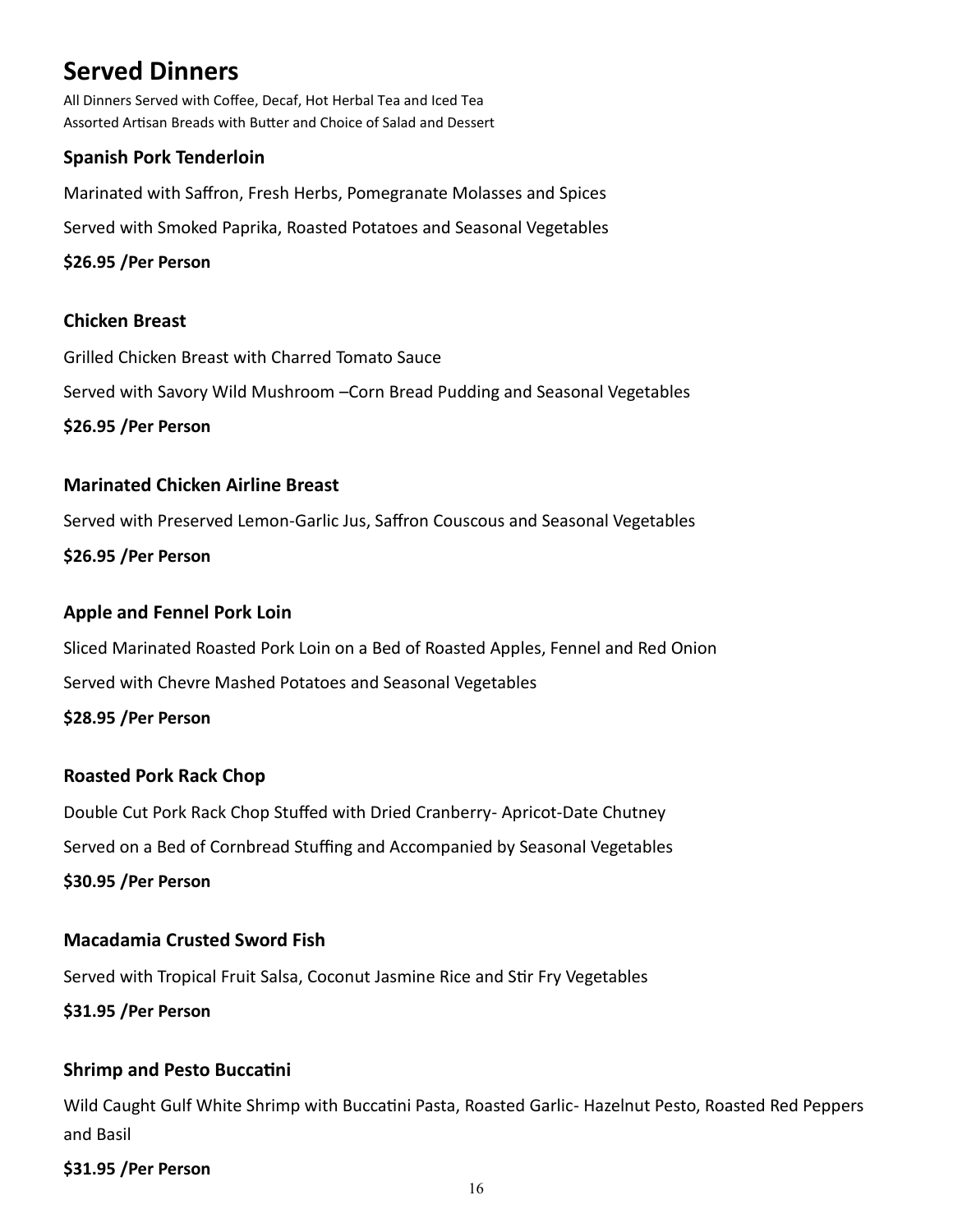# **Served Dinners**

All Dinners Served with Coffee, Decaf, Hot Herbal Tea and Iced Tea Assorted Artisan Breads with Butter and Choice of Salad and Dessert

# **Spanish Pork Tenderloin**

Marinated with Saffron, Fresh Herbs, Pomegranate Molasses and Spices

Served with Smoked Paprika, Roasted Potatoes and Seasonal Vegetables

### **\$26.95 /Per Person**

## **Chicken Breast**

Grilled Chicken Breast with Charred Tomato Sauce

Served with Savory Wild Mushroom –Corn Bread Pudding and Seasonal Vegetables

**\$26.95 /Per Person**

### **Marinated Chicken Airline Breast**

Served with Preserved Lemon-Garlic Jus, Saffron Couscous and Seasonal Vegetables

**\$26.95 /Per Person**

### **Apple and Fennel Pork Loin**

Sliced Marinated Roasted Pork Loin on a Bed of Roasted Apples, Fennel and Red Onion Served with Chevre Mashed Potatoes and Seasonal Vegetables

**\$28.95 /Per Person**

## **Roasted Pork Rack Chop**

Double Cut Pork Rack Chop Stuffed with Dried Cranberry- Apricot-Date Chutney Served on a Bed of Cornbread Stuffing and Accompanied by Seasonal Vegetables

**\$30.95 /Per Person**

## **Macadamia Crusted Sword Fish**

Served with Tropical Fruit Salsa, Coconut Jasmine Rice and Stir Fry Vegetables

**\$31.95 /Per Person**

## **Shrimp and Pesto Buccatini**

Wild Caught Gulf White Shrimp with Buccatini Pasta, Roasted Garlic- Hazelnut Pesto, Roasted Red Peppers and Basil

### **\$31.95 /Per Person**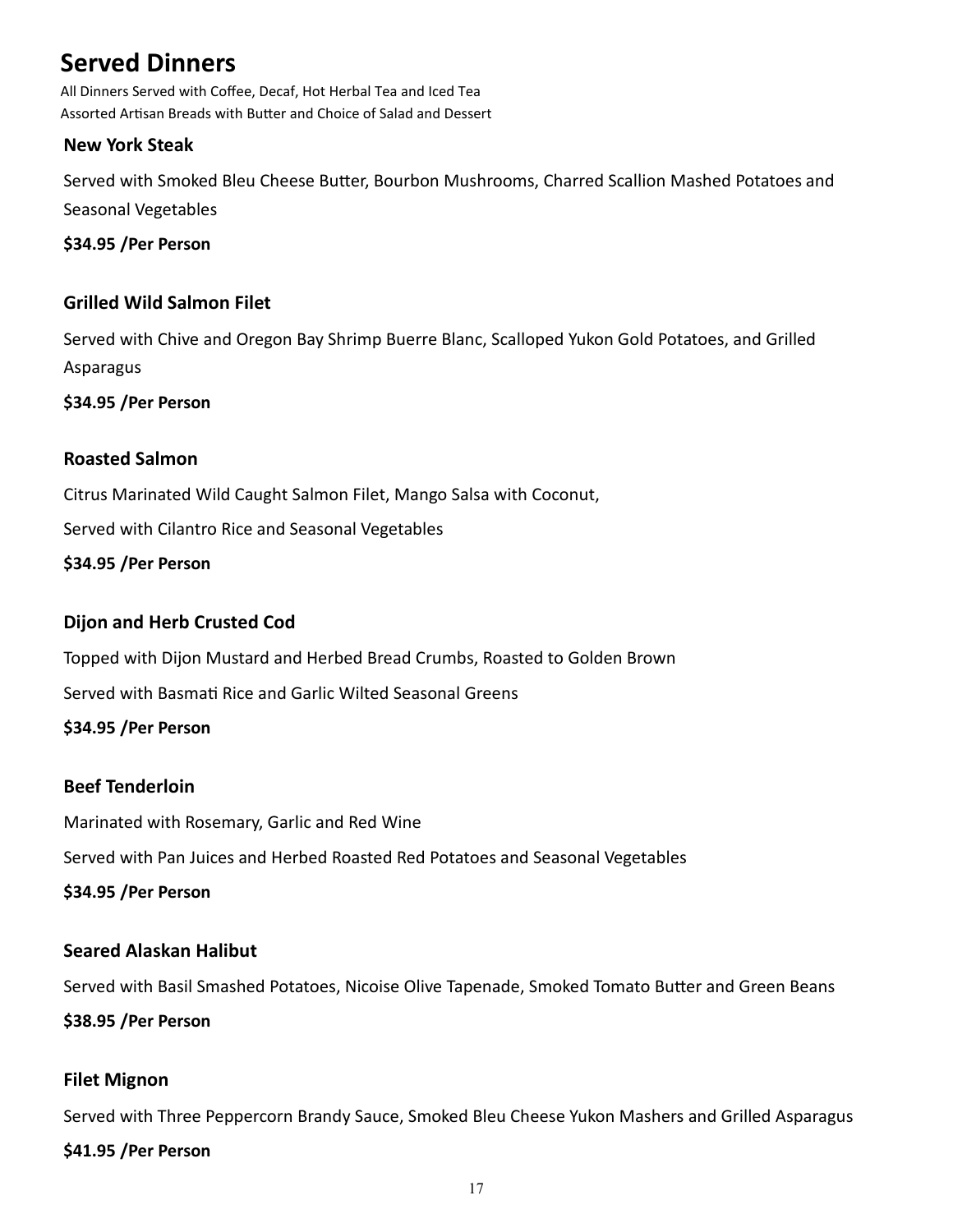# **Served Dinners**

All Dinners Served with Coffee, Decaf, Hot Herbal Tea and Iced Tea Assorted Artisan Breads with Butter and Choice of Salad and Dessert

### **New York Steak**

Served with Smoked Bleu Cheese Butter, Bourbon Mushrooms, Charred Scallion Mashed Potatoes and Seasonal Vegetables

**\$34.95 /Per Person**

### **Grilled Wild Salmon Filet**

Served with Chive and Oregon Bay Shrimp Buerre Blanc, Scalloped Yukon Gold Potatoes, and Grilled Asparagus

**\$34.95 /Per Person**

### **Roasted Salmon**

Citrus Marinated Wild Caught Salmon Filet, Mango Salsa with Coconut,

Served with Cilantro Rice and Seasonal Vegetables

**\$34.95 /Per Person**

## **Dijon and Herb Crusted Cod**

Topped with Dijon Mustard and Herbed Bread Crumbs, Roasted to Golden Brown

Served with Basmati Rice and Garlic Wilted Seasonal Greens

### **\$34.95 /Per Person**

## **Beef Tenderloin**

Marinated with Rosemary, Garlic and Red Wine

Served with Pan Juices and Herbed Roasted Red Potatoes and Seasonal Vegetables

**\$34.95 /Per Person**

## **Seared Alaskan Halibut**

Served with Basil Smashed Potatoes, Nicoise Olive Tapenade, Smoked Tomato Butter and Green Beans

#### **\$38.95 /Per Person**

## **Filet Mignon**

Served with Three Peppercorn Brandy Sauce, Smoked Bleu Cheese Yukon Mashers and Grilled Asparagus **\$41.95 /Per Person**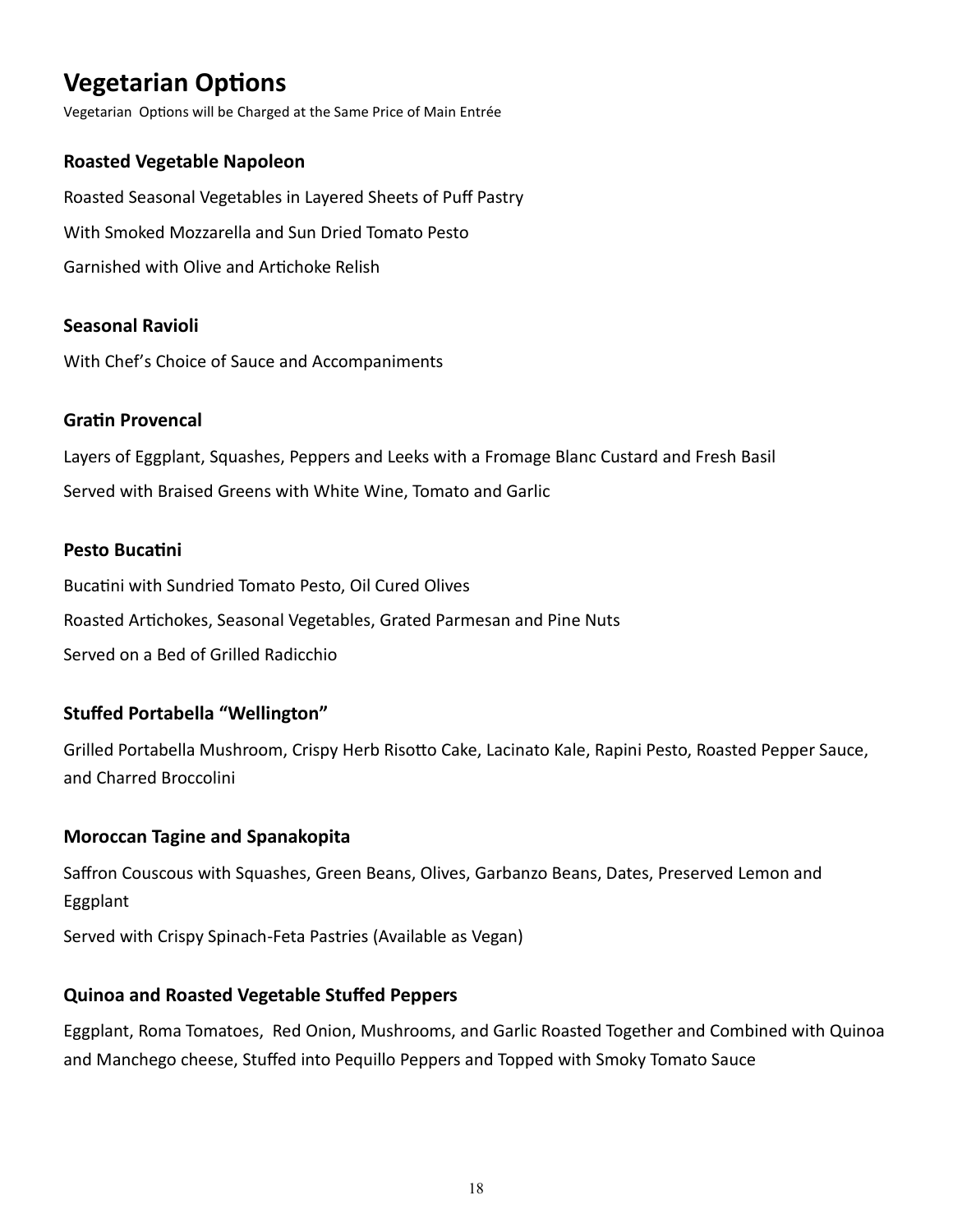# **Vegetarian Options**

Vegetarian Options will be Charged at the Same Price of Main Entrée

# **Roasted Vegetable Napoleon**

Roasted Seasonal Vegetables in Layered Sheets of Puff Pastry With Smoked Mozzarella and Sun Dried Tomato Pesto Garnished with Olive and Artichoke Relish

# **Seasonal Ravioli**

With Chef's Choice of Sauce and Accompaniments

# **Gratin Provencal**

Layers of Eggplant, Squashes, Peppers and Leeks with a Fromage Blanc Custard and Fresh Basil Served with Braised Greens with White Wine, Tomato and Garlic

# **Pesto Bucatini**

Bucatini with Sundried Tomato Pesto, Oil Cured Olives Roasted Artichokes, Seasonal Vegetables, Grated Parmesan and Pine Nuts Served on a Bed of Grilled Radicchio

# **Stuffed Portabella "Wellington"**

Grilled Portabella Mushroom, Crispy Herb Risotto Cake, Lacinato Kale, Rapini Pesto, Roasted Pepper Sauce, and Charred Broccolini

# **Moroccan Tagine and Spanakopita**

Saffron Couscous with Squashes, Green Beans, Olives, Garbanzo Beans, Dates, Preserved Lemon and Eggplant

Served with Crispy Spinach-Feta Pastries (Available as Vegan)

# **Quinoa and Roasted Vegetable Stuffed Peppers**

Eggplant, Roma Tomatoes, Red Onion, Mushrooms, and Garlic Roasted Together and Combined with Quinoa and Manchego cheese, Stuffed into Pequillo Peppers and Topped with Smoky Tomato Sauce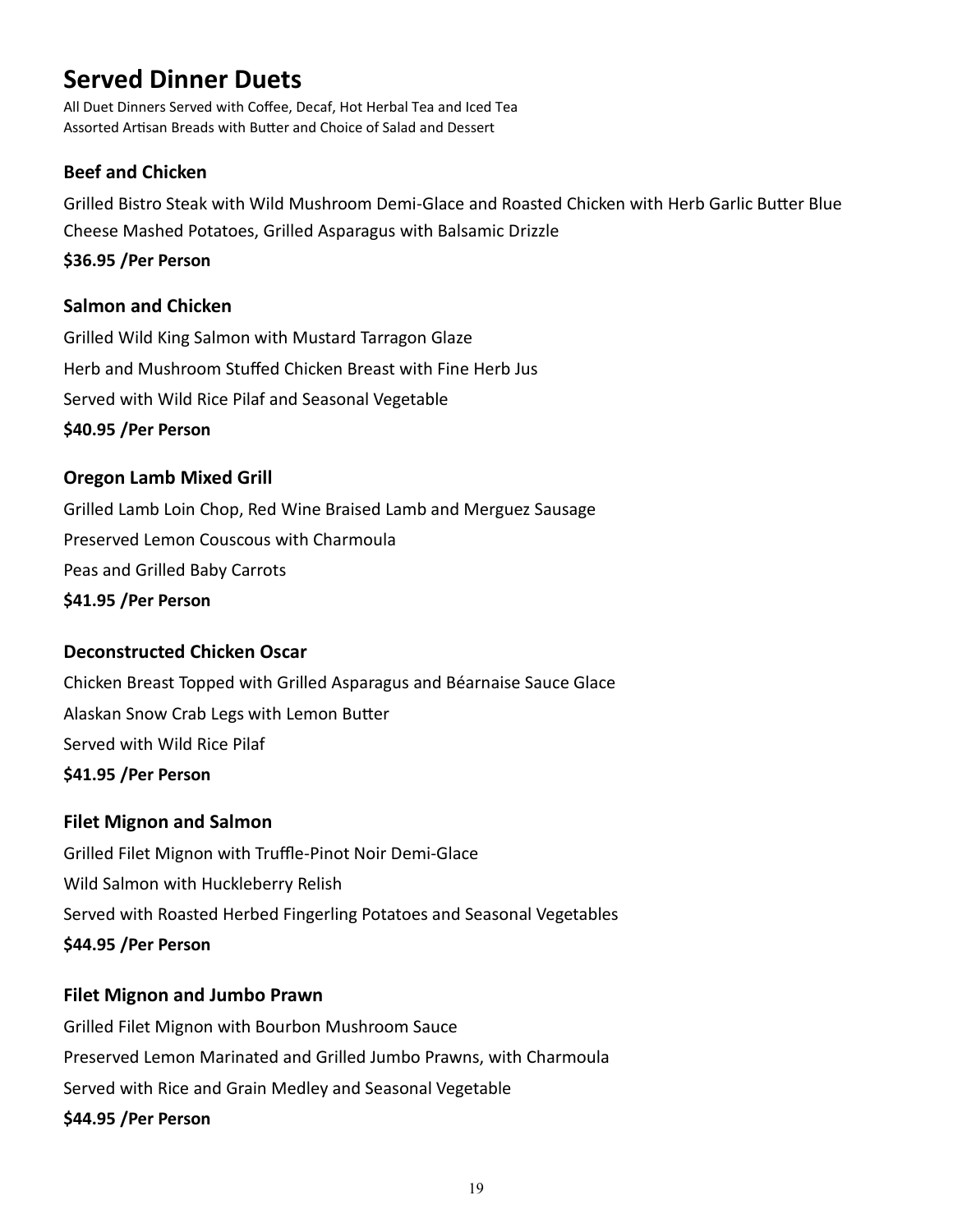# **Served Dinner Duets**

All Duet Dinners Served with Coffee, Decaf, Hot Herbal Tea and Iced Tea Assorted Artisan Breads with Butter and Choice of Salad and Dessert

## **Beef and Chicken**

Grilled Bistro Steak with Wild Mushroom Demi-Glace and Roasted Chicken with Herb Garlic Butter Blue Cheese Mashed Potatoes, Grilled Asparagus with Balsamic Drizzle

#### **\$36.95 /Per Person**

### **Salmon and Chicken**

Grilled Wild King Salmon with Mustard Tarragon Glaze Herb and Mushroom Stuffed Chicken Breast with Fine Herb Jus Served with Wild Rice Pilaf and Seasonal Vegetable **\$40.95 /Per Person**

### **Oregon Lamb Mixed Grill**

Grilled Lamb Loin Chop, Red Wine Braised Lamb and Merguez Sausage Preserved Lemon Couscous with Charmoula Peas and Grilled Baby Carrots **\$41.95 /Per Person**

## **Deconstructed Chicken Oscar**

Chicken Breast Topped with Grilled Asparagus and Béarnaise Sauce Glace Alaskan Snow Crab Legs with Lemon Butter Served with Wild Rice Pilaf **\$41.95 /Per Person**

### **Filet Mignon and Salmon**

Grilled Filet Mignon with Truffle-Pinot Noir Demi-Glace Wild Salmon with Huckleberry Relish Served with Roasted Herbed Fingerling Potatoes and Seasonal Vegetables **\$44.95 /Per Person**

### **Filet Mignon and Jumbo Prawn**

Grilled Filet Mignon with Bourbon Mushroom Sauce Preserved Lemon Marinated and Grilled Jumbo Prawns, with Charmoula Served with Rice and Grain Medley and Seasonal Vegetable **\$44.95 /Per Person**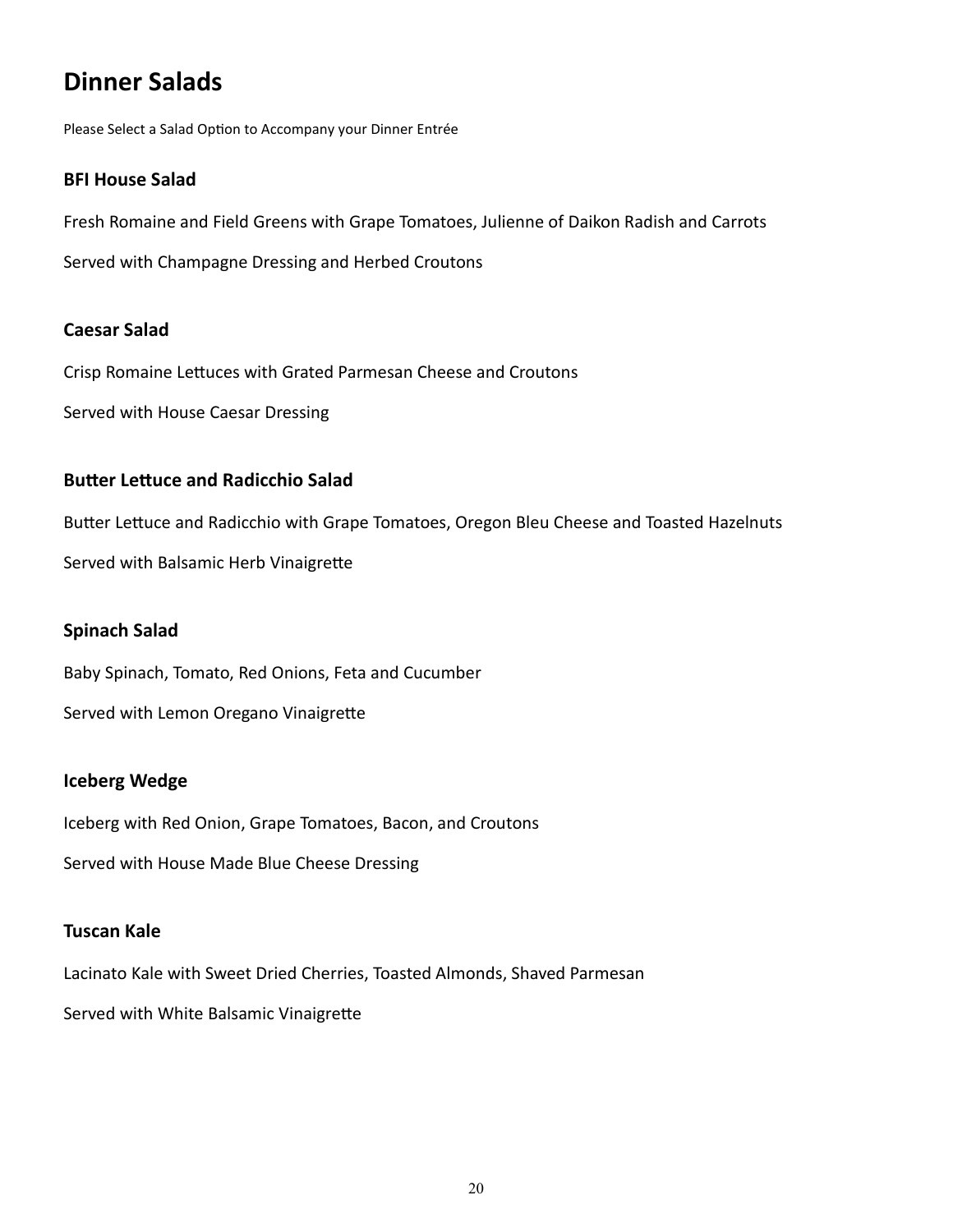# **Dinner Salads**

Please Select a Salad Option to Accompany your Dinner Entrée

#### **BFI House Salad**

Fresh Romaine and Field Greens with Grape Tomatoes, Julienne of Daikon Radish and Carrots

Served with Champagne Dressing and Herbed Croutons

#### **Caesar Salad**

Crisp Romaine Lettuces with Grated Parmesan Cheese and Croutons

Served with House Caesar Dressing

### **Butter Lettuce and Radicchio Salad**

Butter Lettuce and Radicchio with Grape Tomatoes, Oregon Bleu Cheese and Toasted Hazelnuts Served with Balsamic Herb Vinaigrette

#### **Spinach Salad**

Baby Spinach, Tomato, Red Onions, Feta and Cucumber

Served with Lemon Oregano Vinaigrette

### **Iceberg Wedge**

Iceberg with Red Onion, Grape Tomatoes, Bacon, and Croutons

Served with House Made Blue Cheese Dressing

#### **Tuscan Kale**

Lacinato Kale with Sweet Dried Cherries, Toasted Almonds, Shaved Parmesan

Served with White Balsamic Vinaigrette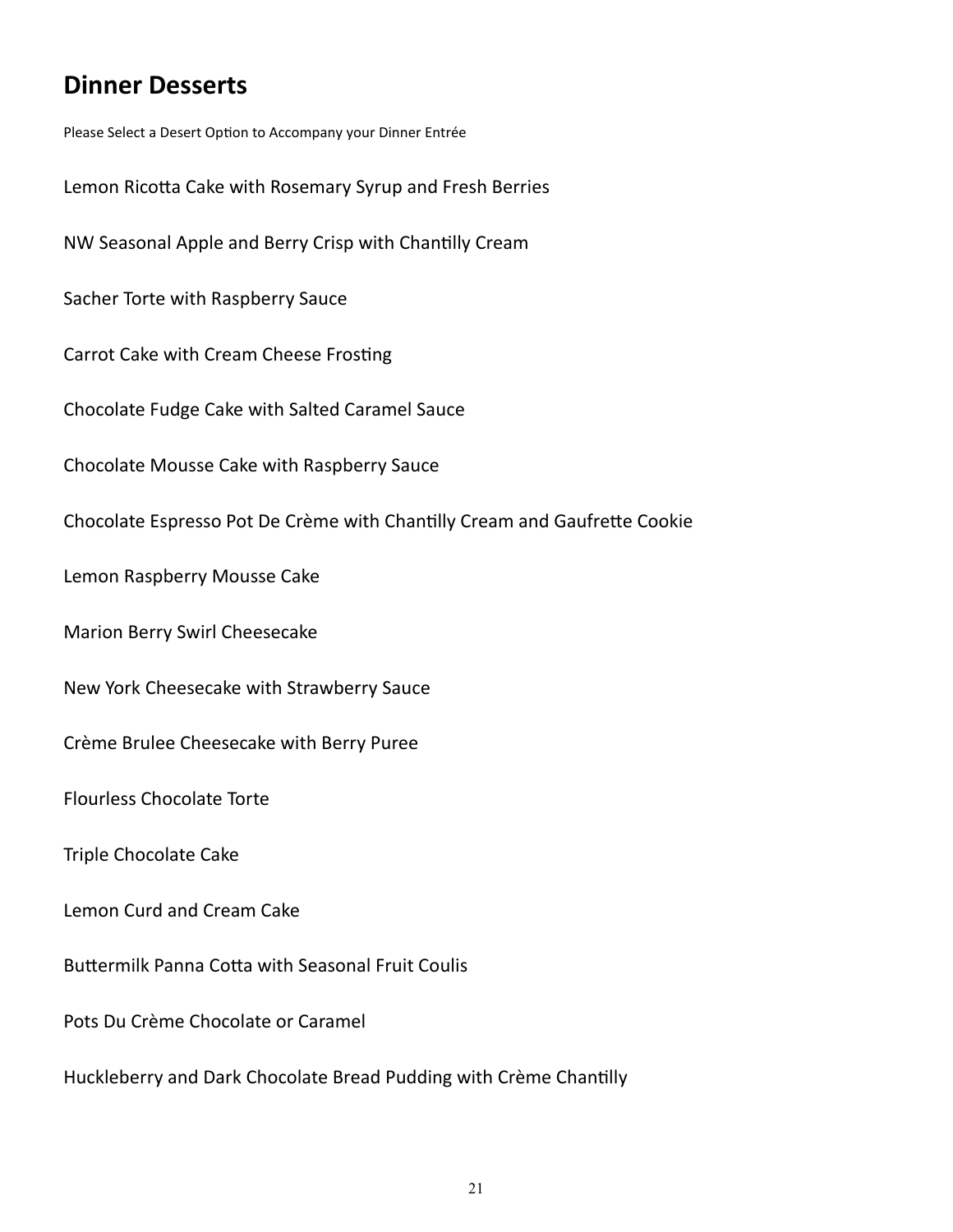# **Dinner Desserts**

Please Select a Desert Option to Accompany your Dinner Entrée Lemon Ricotta Cake with Rosemary Syrup and Fresh Berries NW Seasonal Apple and Berry Crisp with Chantilly Cream Sacher Torte with Raspberry Sauce Carrot Cake with Cream Cheese Frosting Chocolate Fudge Cake with Salted Caramel Sauce Chocolate Mousse Cake with Raspberry Sauce Chocolate Espresso Pot De Crème with Chantilly Cream and Gaufrette Cookie Lemon Raspberry Mousse Cake Marion Berry Swirl Cheesecake New York Cheesecake with Strawberry Sauce Crème Brulee Cheesecake with Berry Puree Flourless Chocolate Torte

Triple Chocolate Cake

Lemon Curd and Cream Cake

Buttermilk Panna Cotta with Seasonal Fruit Coulis

Pots Du Crème Chocolate or Caramel

Huckleberry and Dark Chocolate Bread Pudding with Crème Chantilly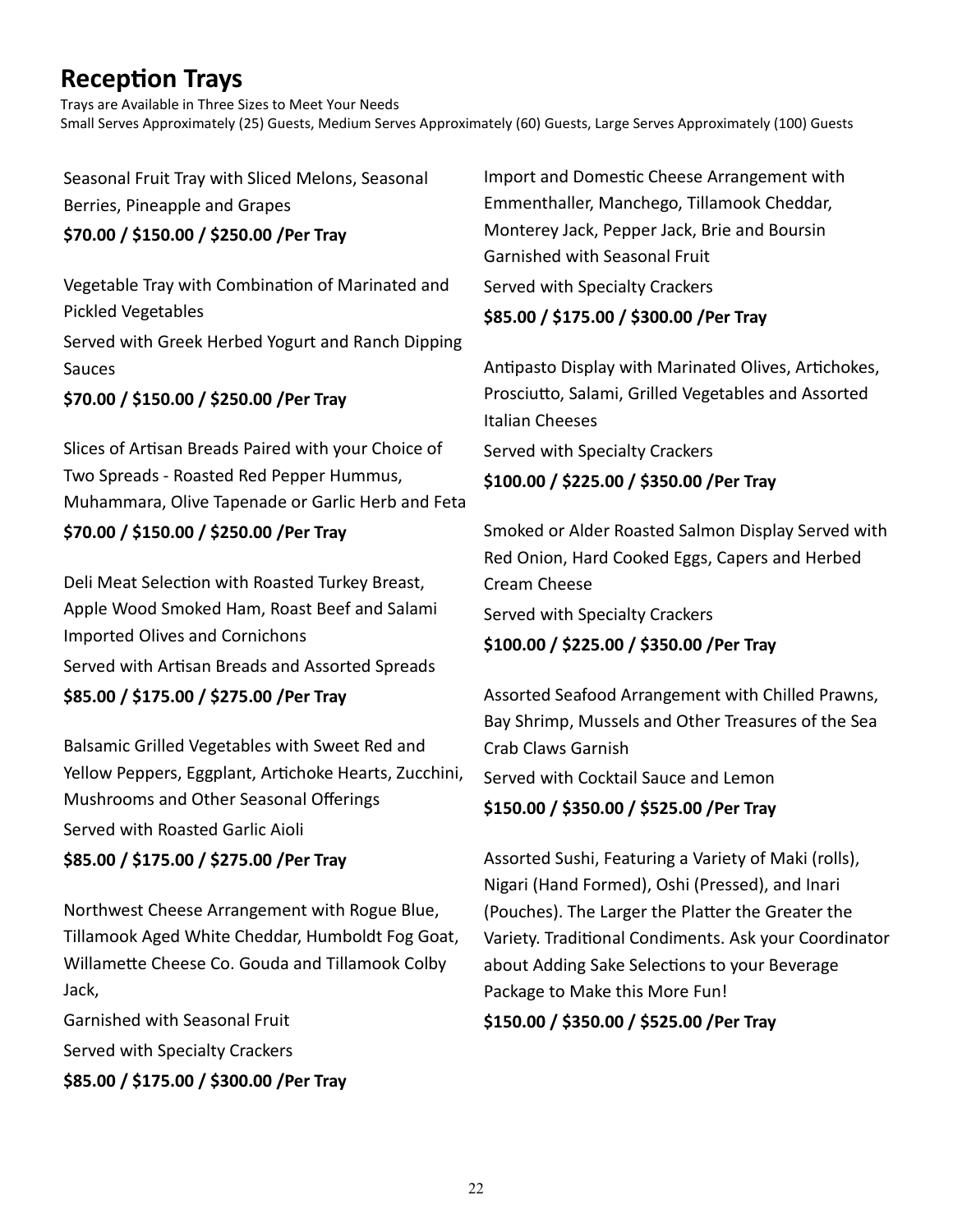# **Reception Trays**

Trays are Available in Three Sizes to Meet Your Needs Small Serves Approximately (25) Guests, Medium Serves Approximately (60) Guests, Large Serves Approximately (100) Guests

Seasonal Fruit Tray with Sliced Melons, Seasonal Berries, Pineapple and Grapes

### **\$70.00 / \$150.00 / \$250.00 /Per Tray**

Vegetable Tray with Combination of Marinated and Pickled Vegetables Served with Greek Herbed Yogurt and Ranch Dipping Sauces

**\$70.00 / \$150.00 / \$250.00 /Per Tray**

Slices of Artisan Breads Paired with your Choice of Two Spreads - Roasted Red Pepper Hummus, Muhammara, Olive Tapenade or Garlic Herb and Feta **\$70.00 / \$150.00 / \$250.00 /Per Tray**

Deli Meat Selection with Roasted Turkey Breast, Apple Wood Smoked Ham, Roast Beef and Salami Imported Olives and Cornichons

Served with Artisan Breads and Assorted Spreads

## **\$85.00 / \$175.00 / \$275.00 /Per Tray**

Balsamic Grilled Vegetables with Sweet Red and Yellow Peppers, Eggplant, Artichoke Hearts, Zucchini, Mushrooms and Other Seasonal Offerings Served with Roasted Garlic Aioli **\$85.00 / \$175.00 / \$275.00 /Per Tray**

Northwest Cheese Arrangement with Rogue Blue, Tillamook Aged White Cheddar, Humboldt Fog Goat, Willamette Cheese Co. Gouda and Tillamook Colby Jack,

Garnished with Seasonal Fruit Served with Specialty Crackers **\$85.00 / \$175.00 / \$300.00 /Per Tray** Import and Domestic Cheese Arrangement with Emmenthaller, Manchego, Tillamook Cheddar, Monterey Jack, Pepper Jack, Brie and Boursin Garnished with Seasonal Fruit Served with Specialty Crackers **\$85.00 / \$175.00 / \$300.00 /Per Tray**

Antipasto Display with Marinated Olives, Artichokes, Prosciutto, Salami, Grilled Vegetables and Assorted Italian Cheeses

Served with Specialty Crackers

## **\$100.00 / \$225.00 / \$350.00 /Per Tray**

Smoked or Alder Roasted Salmon Display Served with Red Onion, Hard Cooked Eggs, Capers and Herbed Cream Cheese

Served with Specialty Crackers

## **\$100.00 / \$225.00 / \$350.00 /Per Tray**

Assorted Seafood Arrangement with Chilled Prawns, Bay Shrimp, Mussels and Other Treasures of the Sea Crab Claws Garnish Served with Cocktail Sauce and Lemon **\$150.00 / \$350.00 / \$525.00 /Per Tray**

Assorted Sushi, Featuring a Variety of Maki (rolls), Nigari (Hand Formed), Oshi (Pressed), and Inari (Pouches). The Larger the Platter the Greater the Variety. Traditional Condiments. Ask your Coordinator about Adding Sake Selections to your Beverage Package to Make this More Fun!

**\$150.00 / \$350.00 / \$525.00 /Per Tray**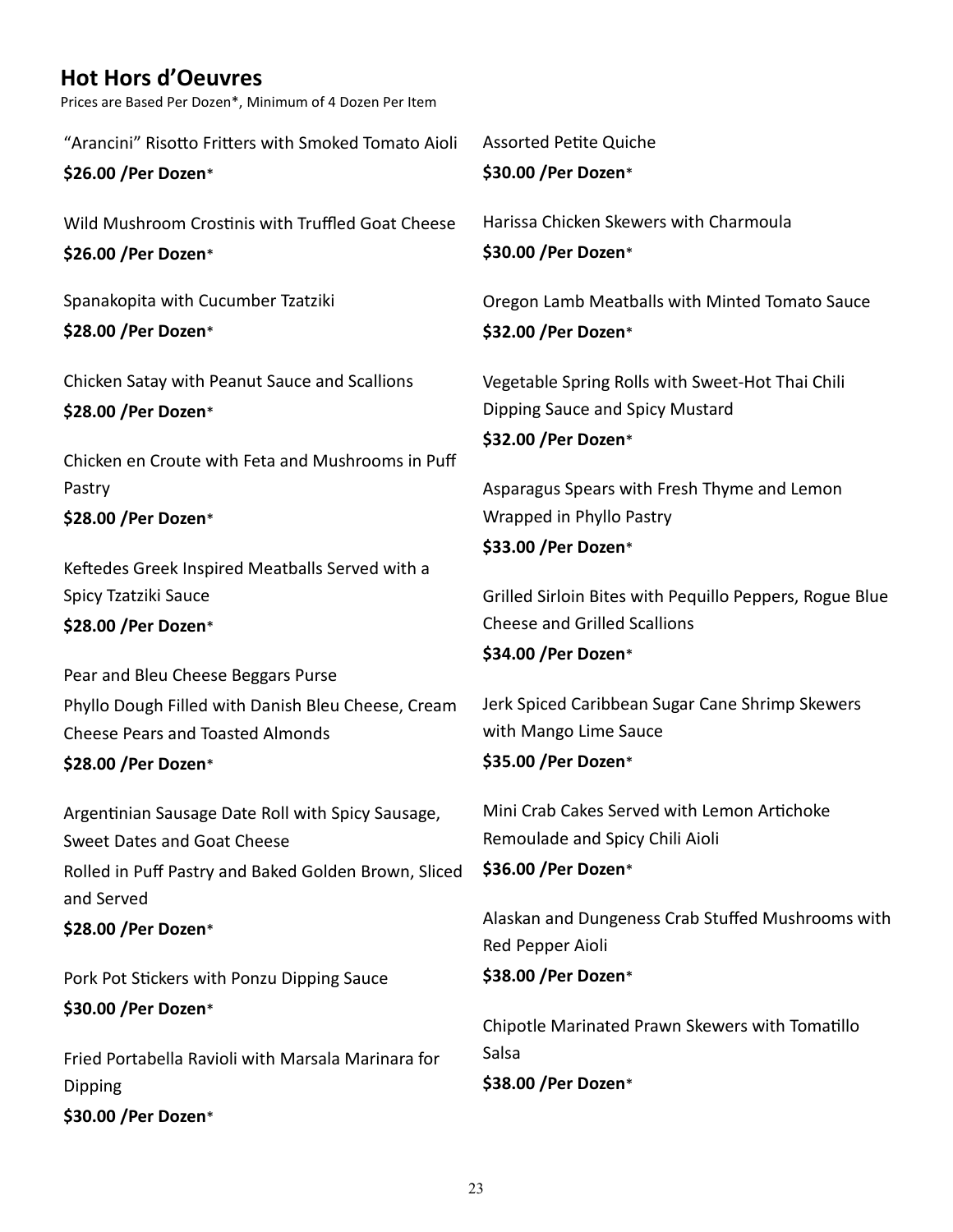# **Hot Hors d'Oeuvres**

Prices are Based Per Dozen\*, Minimum of 4 Dozen Per Item

"Arancini" Risotto Fritters with Smoked Tomato Aioli **\$26.00 /Per Dozen**\*

Wild Mushroom Crostinis with Truffled Goat Cheese

**\$26.00 /Per Dozen**\*

Spanakopita with Cucumber Tzatziki **\$28.00 /Per Dozen**\*

Chicken Satay with Peanut Sauce and Scallions **\$28.00 /Per Dozen**\*

Chicken en Croute with Feta and Mushrooms in Puff Pastry **\$28.00 /Per Dozen**\*

Keftedes Greek Inspired Meatballs Served with a Spicy Tzatziki Sauce **\$28.00 /Per Dozen**\*

Pear and Bleu Cheese Beggars Purse Phyllo Dough Filled with Danish Bleu Cheese, Cream Cheese Pears and Toasted Almonds

### **\$28.00 /Per Dozen**\*

Argentinian Sausage Date Roll with Spicy Sausage, Sweet Dates and Goat Cheese Rolled in Puff Pastry and Baked Golden Brown, Sliced and Served **\$28.00 /Per Dozen**\* Pork Pot Stickers with Ponzu Dipping Sauce

**\$30.00 /Per Dozen**\*

Fried Portabella Ravioli with Marsala Marinara for Dipping **\$30.00 /Per Dozen**\*

Assorted Petite Quiche **\$30.00 /Per Dozen**\*

Harissa Chicken Skewers with Charmoula **\$30.00 /Per Dozen**\*

Oregon Lamb Meatballs with Minted Tomato Sauce **\$32.00 /Per Dozen**\*

Vegetable Spring Rolls with Sweet-Hot Thai Chili Dipping Sauce and Spicy Mustard

**\$32.00 /Per Dozen**\*

Asparagus Spears with Fresh Thyme and Lemon Wrapped in Phyllo Pastry **\$33.00 /Per Dozen**\*

Grilled Sirloin Bites with Pequillo Peppers, Rogue Blue Cheese and Grilled Scallions

### **\$34.00 /Per Dozen**\*

Jerk Spiced Caribbean Sugar Cane Shrimp Skewers with Mango Lime Sauce **\$35.00 /Per Dozen**\*

Mini Crab Cakes Served with Lemon Artichoke Remoulade and Spicy Chili Aioli

```
$36.00 /Per Dozen*
```
Alaskan and Dungeness Crab Stuffed Mushrooms with Red Pepper Aioli

### **\$38.00 /Per Dozen**\*

Chipotle Marinated Prawn Skewers with Tomatillo Salsa **\$38.00 /Per Dozen**\*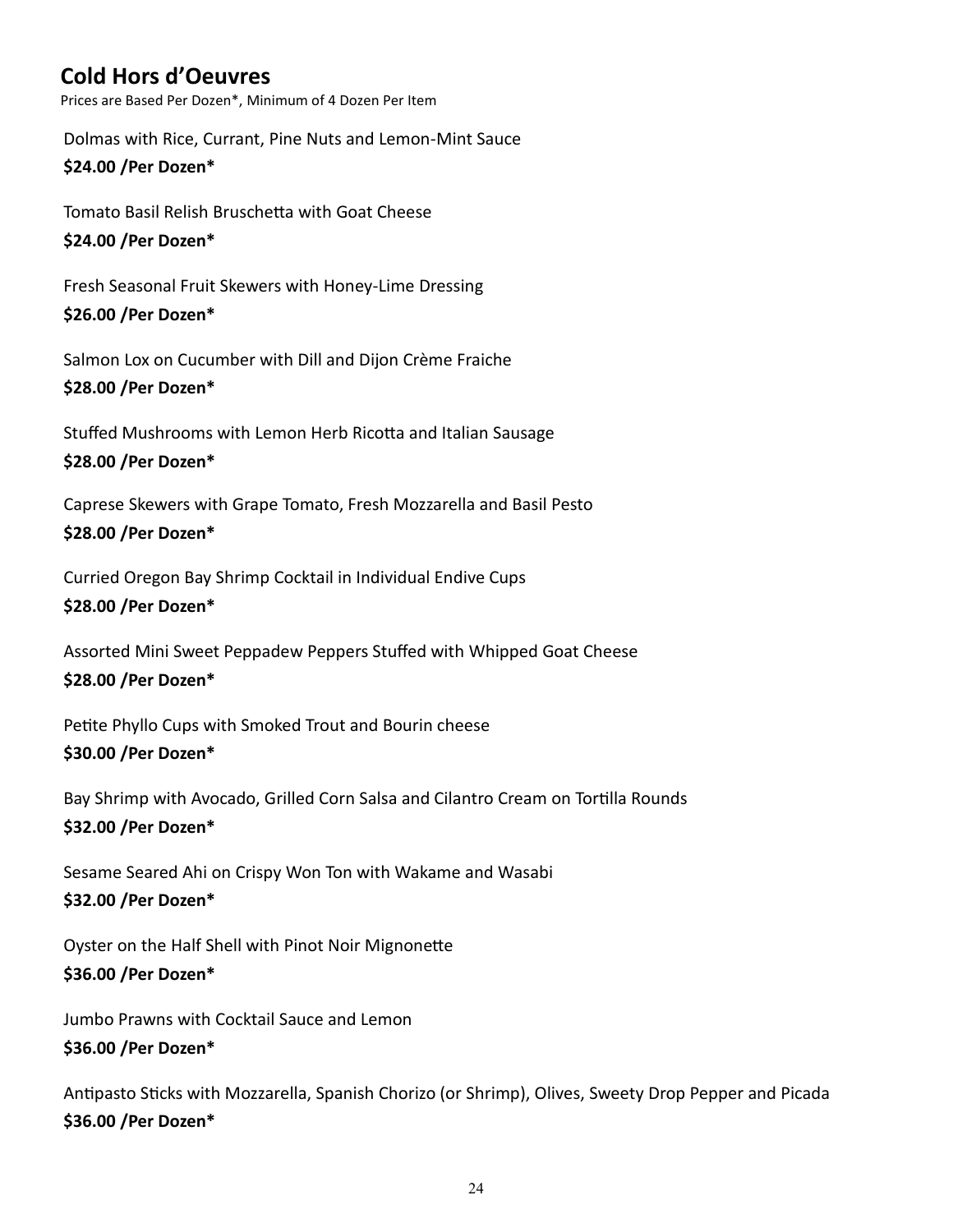# **Cold Hors d'Oeuvres**

Prices are Based Per Dozen\*, Minimum of 4 Dozen Per Item

Dolmas with Rice, Currant, Pine Nuts and Lemon-Mint Sauce

#### **\$24.00 /Per Dozen\***

Tomato Basil Relish Bruschetta with Goat Cheese

#### **\$24.00 /Per Dozen\***

Fresh Seasonal Fruit Skewers with Honey-Lime Dressing

#### **\$26.00 /Per Dozen\***

Salmon Lox on Cucumber with Dill and Dijon Crème Fraiche **\$28.00 /Per Dozen\***

# Stuffed Mushrooms with Lemon Herb Ricotta and Italian Sausage

### **\$28.00 /Per Dozen\***

Caprese Skewers with Grape Tomato, Fresh Mozzarella and Basil Pesto **\$28.00 /Per Dozen\***

Curried Oregon Bay Shrimp Cocktail in Individual Endive Cups **\$28.00 /Per Dozen\***

Assorted Mini Sweet Peppadew Peppers Stuffed with Whipped Goat Cheese **\$28.00 /Per Dozen\***

Petite Phyllo Cups with Smoked Trout and Bourin cheese **\$30.00 /Per Dozen\***

Bay Shrimp with Avocado, Grilled Corn Salsa and Cilantro Cream on Tortilla Rounds **\$32.00 /Per Dozen\***

Sesame Seared Ahi on Crispy Won Ton with Wakame and Wasabi **\$32.00 /Per Dozen\***

Oyster on the Half Shell with Pinot Noir Mignonette **\$36.00 /Per Dozen\***

Jumbo Prawns with Cocktail Sauce and Lemon **\$36.00 /Per Dozen\***

Antipasto Sticks with Mozzarella, Spanish Chorizo (or Shrimp), Olives, Sweety Drop Pepper and Picada **\$36.00 /Per Dozen\***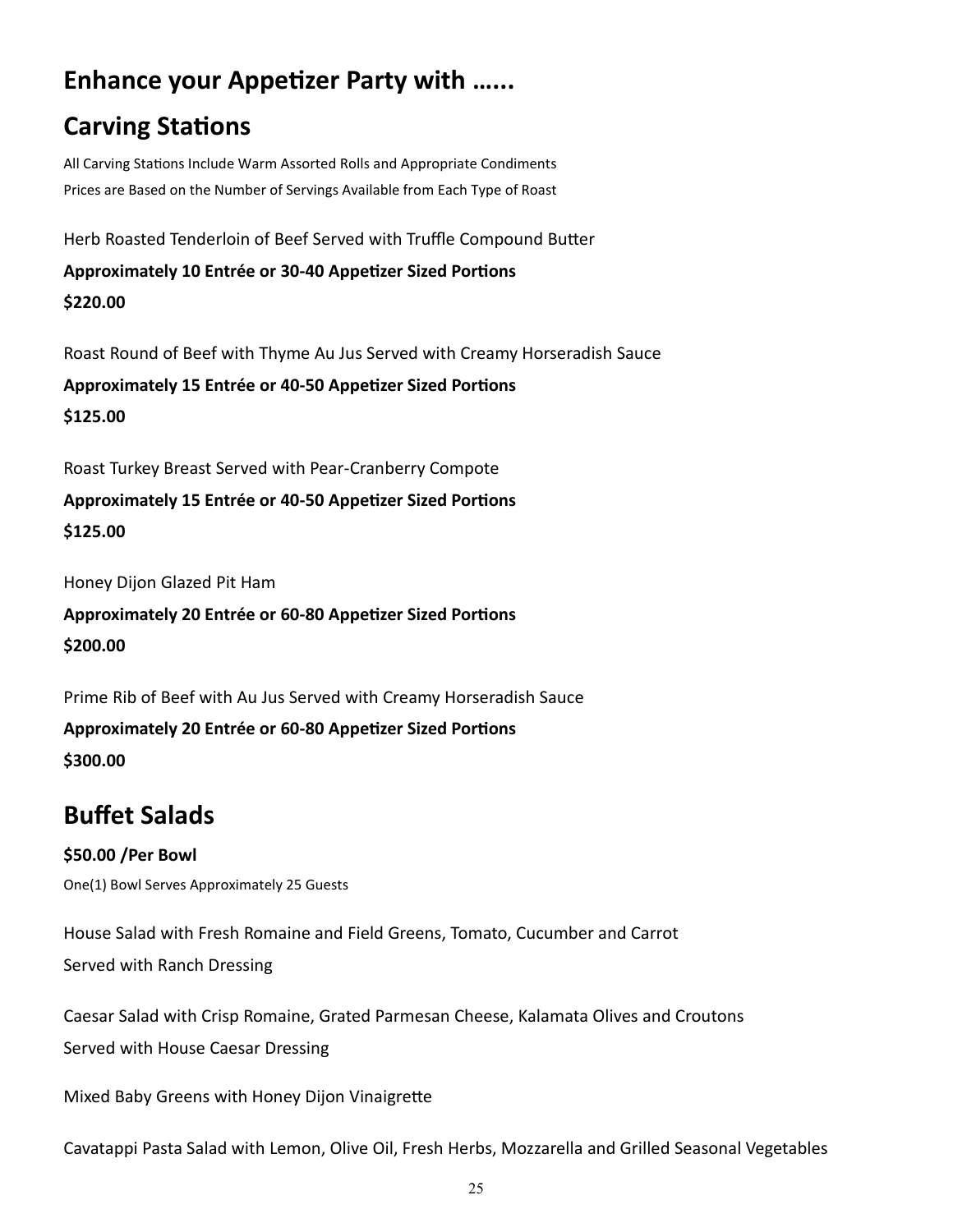# **Enhance your Appetizer Party with …...**

# **Carving Stations**

All Carving Stations Include Warm Assorted Rolls and Appropriate Condiments Prices are Based on the Number of Servings Available from Each Type of Roast

Herb Roasted Tenderloin of Beef Served with Truffle Compound Butter

**Approximately 10 Entrée or 30-40 Appetizer Sized Portions \$220.00**

Roast Round of Beef with Thyme Au Jus Served with Creamy Horseradish Sauce

**Approximately 15 Entrée or 40-50 Appetizer Sized Portions \$125.00**

Roast Turkey Breast Served with Pear-Cranberry Compote

**Approximately 15 Entrée or 40-50 Appetizer Sized Portions \$125.00**

Honey Dijon Glazed Pit Ham

**Approximately 20 Entrée or 60-80 Appetizer Sized Portions \$200.00**

Prime Rib of Beef with Au Jus Served with Creamy Horseradish Sauce

**Approximately 20 Entrée or 60-80 Appetizer Sized Portions**

**\$300.00**

# **Buffet Salads**

## **\$50.00 /Per Bowl**

One(1) Bowl Serves Approximately 25 Guests

House Salad with Fresh Romaine and Field Greens, Tomato, Cucumber and Carrot Served with Ranch Dressing

Caesar Salad with Crisp Romaine, Grated Parmesan Cheese, Kalamata Olives and Croutons Served with House Caesar Dressing

Mixed Baby Greens with Honey Dijon Vinaigrette

Cavatappi Pasta Salad with Lemon, Olive Oil, Fresh Herbs, Mozzarella and Grilled Seasonal Vegetables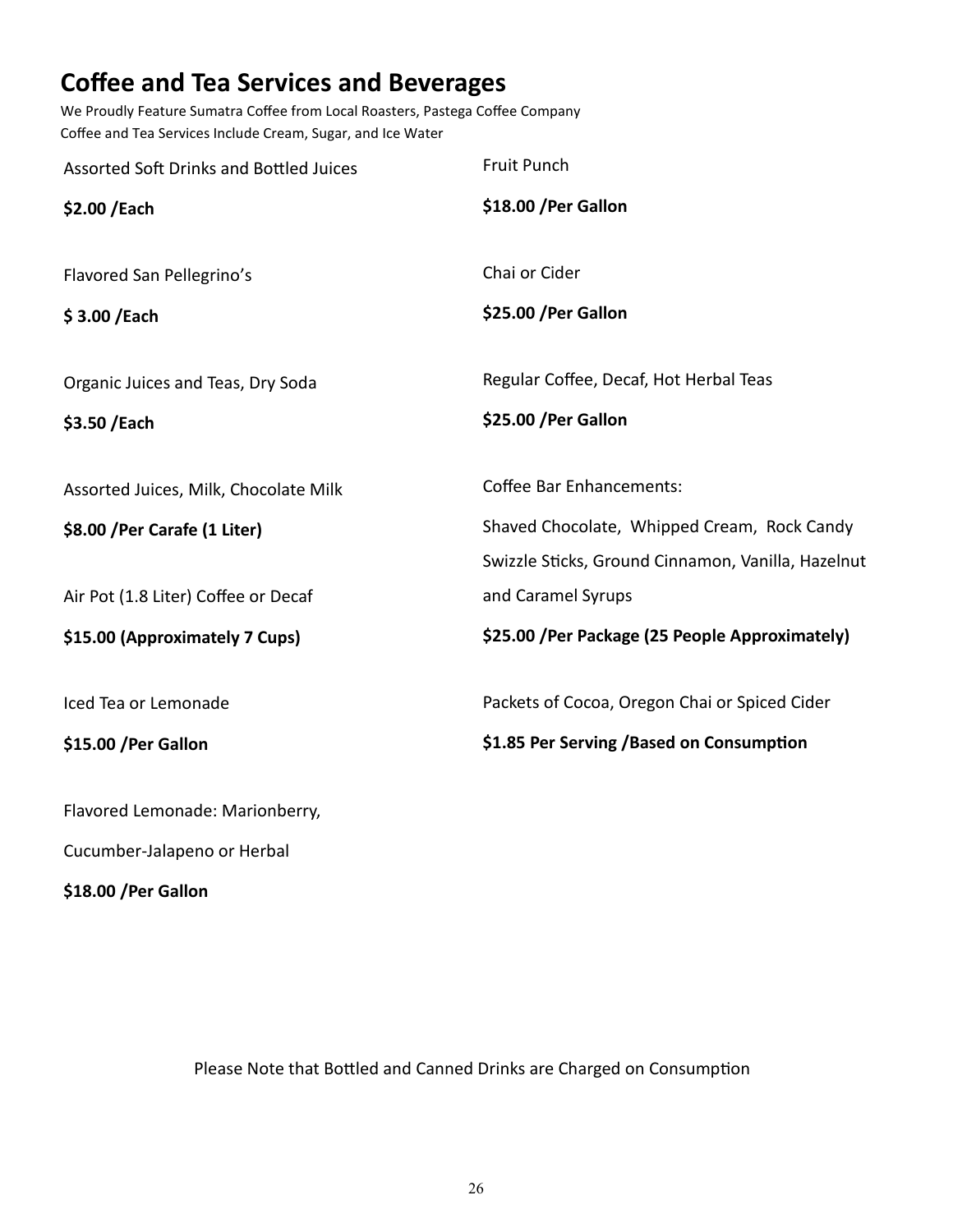# **Coffee and Tea Services and Beverages**

We Proudly Feature Sumatra Coffee from Local Roasters, Pastega Coffee Company Coffee and Tea Services Include Cream, Sugar, and Ice Water

| Assorted Soft Drinks and Bottled Juices | Fruit Punch                                                                                       |
|-----------------------------------------|---------------------------------------------------------------------------------------------------|
| \$2.00 / Each                           | \$18.00 / Per Gallon                                                                              |
| Flavored San Pellegrino's               | Chai or Cider                                                                                     |
| \$3.00 /Each                            | \$25.00 / Per Gallon                                                                              |
| Organic Juices and Teas, Dry Soda       | Regular Coffee, Decaf, Hot Herbal Teas                                                            |
| \$3.50 / Each                           | \$25.00 / Per Gallon                                                                              |
| Assorted Juices, Milk, Chocolate Milk   | <b>Coffee Bar Enhancements:</b>                                                                   |
| \$8.00 / Per Carafe (1 Liter)           | Shaved Chocolate, Whipped Cream, Rock Candy<br>Swizzle Sticks, Ground Cinnamon, Vanilla, Hazelnut |
| Air Pot (1.8 Liter) Coffee or Decaf     | and Caramel Syrups                                                                                |
| \$15.00 (Approximately 7 Cups)          | \$25.00 /Per Package (25 People Approximately)                                                    |
| Iced Tea or Lemonade                    | Packets of Cocoa, Oregon Chai or Spiced Cider                                                     |
| \$15.00 / Per Gallon                    | \$1.85 Per Serving / Based on Consumption                                                         |
| Flavored Lemonade: Marionberry,         |                                                                                                   |
| Cucumber-Jalapeno or Herbal             |                                                                                                   |

**\$18.00 /Per Gallon**

Please Note that Bottled and Canned Drinks are Charged on Consumption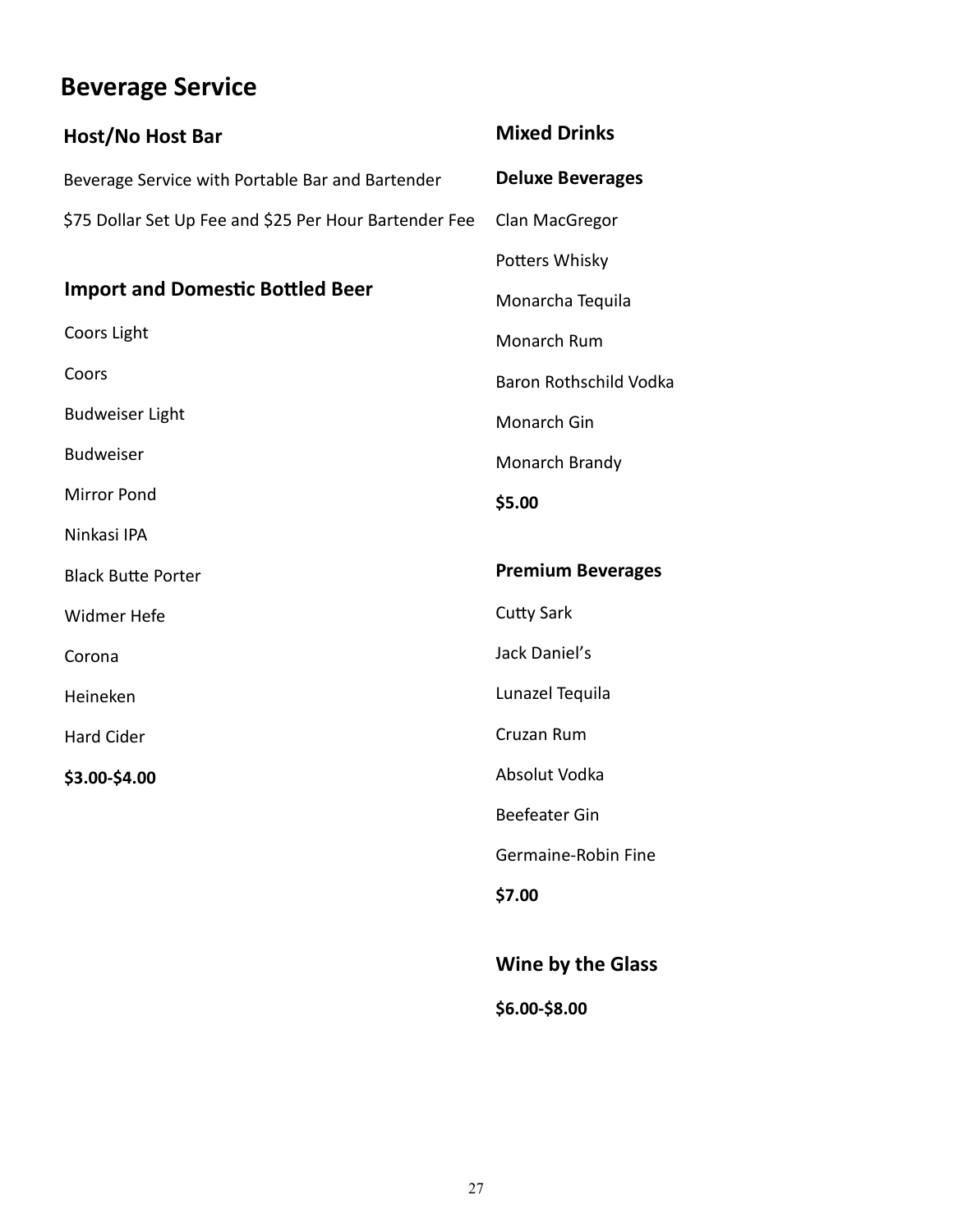# **Beverage Service**

| Host/No Host Bar                                       | <b>Mixed Drinks</b>      |
|--------------------------------------------------------|--------------------------|
| Beverage Service with Portable Bar and Bartender       | <b>Deluxe Beverages</b>  |
| \$75 Dollar Set Up Fee and \$25 Per Hour Bartender Fee | Clan MacGregor           |
|                                                        | Potters Whisky           |
| <b>Import and Domestic Bottled Beer</b>                | Monarcha Tequila         |
| Coors Light                                            | Monarch Rum              |
| Coors                                                  | Baron Rothschild Vodka   |
| <b>Budweiser Light</b>                                 | Monarch Gin              |
| <b>Budweiser</b>                                       | Monarch Brandy           |
| <b>Mirror Pond</b>                                     | \$5.00                   |
| Ninkasi IPA                                            |                          |
| <b>Black Butte Porter</b>                              | <b>Premium Beverages</b> |
| Widmer Hefe                                            | <b>Cutty Sark</b>        |
| Corona                                                 | Jack Daniel's            |
| Heineken                                               | Lunazel Tequila          |
| <b>Hard Cider</b>                                      | Cruzan Rum               |
| \$3.00-\$4.00                                          | Absolut Vodka            |
|                                                        | <b>Beefeater Gin</b>     |
|                                                        | Germaine-Robin Fine      |
|                                                        | \$7.00                   |
|                                                        |                          |
|                                                        | <b>Wine by the Glass</b> |

**\$6.00-\$8.00**